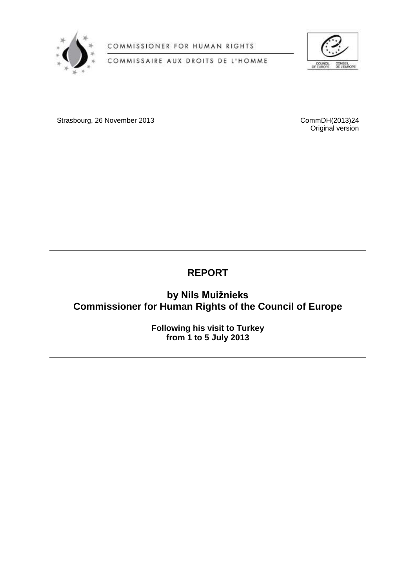

COMMISSIONER FOR HUMAN RIGHTS





Strasbourg, 26 November 2013 CommDH(2013)24

Original version

# **REPORT**

## **by Nils Muižnieks Commissioner for Human Rights of the Council of Europe**

**Following his visit to Turkey from 1 to 5 July 2013**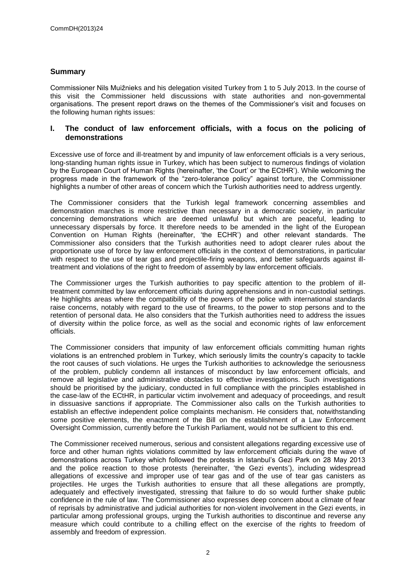## **Summary**

Commissioner Nils Muižnieks and his delegation visited Turkey from 1 to 5 July 2013. In the course of this visit the Commissioner held discussions with state authorities and non-governmental organisations. The present report draws on the themes of the Commissioner's visit and focuses on the following human rights issues:

## **I. The conduct of law enforcement officials, with a focus on the policing of demonstrations**

Excessive use of force and ill-treatment by and impunity of law enforcement officials is a very serious, long-standing human rights issue in Turkey, which has been subject to numerous findings of violation by the European Court of Human Rights (hereinafter, 'the Court' or 'the ECtHR'). While welcoming the progress made in the framework of the "zero-tolerance policy" against torture, the Commissioner highlights a number of other areas of concern which the Turkish authorities need to address urgently.

The Commissioner considers that the Turkish legal framework concerning assemblies and demonstration marches is more restrictive than necessary in a democratic society, in particular concerning demonstrations which are deemed unlawful but which are peaceful, leading to unnecessary dispersals by force. It therefore needs to be amended in the light of the European Convention on Human Rights (hereinafter, 'the ECHR') and other relevant standards. The Commissioner also considers that the Turkish authorities need to adopt clearer rules about the proportionate use of force by law enforcement officials in the context of demonstrations, in particular with respect to the use of tear gas and projectile-firing weapons, and better safeguards against illtreatment and violations of the right to freedom of assembly by law enforcement officials.

The Commissioner urges the Turkish authorities to pay specific attention to the problem of illtreatment committed by law enforcement officials during apprehensions and in non-custodial settings. He highlights areas where the compatibility of the powers of the police with international standards raise concerns, notably with regard to the use of firearms, to the power to stop persons and to the retention of personal data. He also considers that the Turkish authorities need to address the issues of diversity within the police force, as well as the social and economic rights of law enforcement officials.

The Commissioner considers that impunity of law enforcement officials committing human rights violations is an entrenched problem in Turkey, which seriously limits the country's capacity to tackle the root causes of such violations. He urges the Turkish authorities to acknowledge the seriousness of the problem, publicly condemn all instances of misconduct by law enforcement officials, and remove all legislative and administrative obstacles to effective investigations. Such investigations should be prioritised by the judiciary, conducted in full compliance with the principles established in the case-law of the ECtHR, in particular victim involvement and adequacy of proceedings, and result in dissuasive sanctions if appropriate. The Commissioner also calls on the Turkish authorities to establish an effective independent police complaints mechanism. He considers that, notwithstanding some positive elements, the enactment of the Bill on the establishment of a Law Enforcement Oversight Commission, currently before the Turkish Parliament, would not be sufficient to this end.

The Commissioner received numerous, serious and consistent allegations regarding excessive use of force and other human rights violations committed by law enforcement officials during the wave of demonstrations across Turkey which followed the protests in Istanbul's Gezi Park on 28 May 2013 and the police reaction to those protests (hereinafter, 'the Gezi events'), including widespread allegations of excessive and improper use of tear gas and of the use of tear gas canisters as projectiles. He urges the Turkish authorities to ensure that all these allegations are promptly, adequately and effectively investigated, stressing that failure to do so would further shake public confidence in the rule of law. The Commissioner also expresses deep concern about a climate of fear of reprisals by administrative and judicial authorities for non-violent involvement in the Gezi events, in particular among professional groups, urging the Turkish authorities to discontinue and reverse any measure which could contribute to a chilling effect on the exercise of the rights to freedom of assembly and freedom of expression.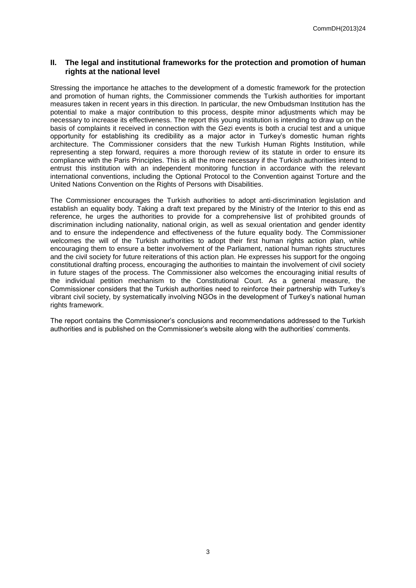## **II. The legal and institutional frameworks for the protection and promotion of human rights at the national level**

Stressing the importance he attaches to the development of a domestic framework for the protection and promotion of human rights, the Commissioner commends the Turkish authorities for important measures taken in recent years in this direction. In particular, the new Ombudsman Institution has the potential to make a major contribution to this process, despite minor adjustments which may be necessary to increase its effectiveness. The report this young institution is intending to draw up on the basis of complaints it received in connection with the Gezi events is both a crucial test and a unique opportunity for establishing its credibility as a major actor in Turkey's domestic human rights architecture. The Commissioner considers that the new Turkish Human Rights Institution, while representing a step forward, requires a more thorough review of its statute in order to ensure its compliance with the Paris Principles. This is all the more necessary if the Turkish authorities intend to entrust this institution with an independent monitoring function in accordance with the relevant international conventions, including the Optional Protocol to the Convention against Torture and the United Nations Convention on the Rights of Persons with Disabilities.

The Commissioner encourages the Turkish authorities to adopt anti-discrimination legislation and establish an equality body. Taking a draft text prepared by the Ministry of the Interior to this end as reference, he urges the authorities to provide for a comprehensive list of prohibited grounds of discrimination including nationality, national origin, as well as sexual orientation and gender identity and to ensure the independence and effectiveness of the future equality body. The Commissioner welcomes the will of the Turkish authorities to adopt their first human rights action plan, while encouraging them to ensure a better involvement of the Parliament, national human rights structures and the civil society for future reiterations of this action plan. He expresses his support for the ongoing constitutional drafting process, encouraging the authorities to maintain the involvement of civil society in future stages of the process. The Commissioner also welcomes the encouraging initial results of the individual petition mechanism to the Constitutional Court. As a general measure, the Commissioner considers that the Turkish authorities need to reinforce their partnership with Turkey's vibrant civil society, by systematically involving NGOs in the development of Turkey's national human rights framework.

The report contains the Commissioner's conclusions and recommendations addressed to the Turkish authorities and is published on the Commissioner's website along with the authorities' comments.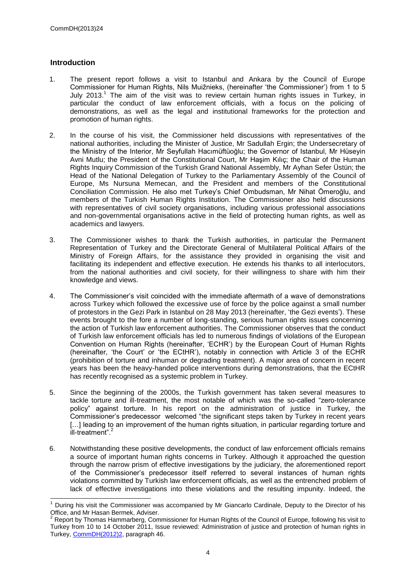## **Introduction**

- 1. The present report follows a visit to Istanbul and Ankara by the Council of Europe Commissioner for Human Rights, Nils Muižnieks, (hereinafter 'the Commissioner') from 1 to 5 July 2013.<sup>1</sup> The aim of the visit was to review certain human rights issues in Turkey, in particular the conduct of law enforcement officials, with a focus on the policing of demonstrations, as well as the legal and institutional frameworks for the protection and promotion of human rights.
- 2. In the course of his visit, the Commissioner held discussions with representatives of the national authorities, including the Minister of Justice, Mr Sadullah Ergin; the Undersecretary of the Ministry of the Interior, Mr Seyfullah Hacımüftüoğlu; the Governor of Istanbul, Mr Hüseyin Avni Mutlu; the President of the Constitutional Court, Mr Haşim Kılıç; the Chair of the Human Rights Inquiry Commission of the Turkish Grand National Assembly, Mr Ayhan Sefer Üstün; the Head of the National Delegation of Turkey to the Parliamentary Assembly of the Council of Europe, Ms Nursuna Memecan, and the President and members of the Constitutional Conciliation Commission. He also met Turkey's Chief Ombudsman, Mr Nihat Ömeroğlu, and members of the Turkish Human Rights Institution. The Commissioner also held discussions with representatives of civil society organisations, including various professional associations and non-governmental organisations active in the field of protecting human rights, as well as academics and lawyers.
- 3. The Commissioner wishes to thank the Turkish authorities, in particular the Permanent Representation of Turkey and the Directorate General of Multilateral Political Affairs of the Ministry of Foreign Affairs, for the assistance they provided in organising the visit and facilitating its independent and effective execution. He extends his thanks to all interlocutors, from the national authorities and civil society, for their willingness to share with him their knowledge and views.
- 4. The Commissioner's visit coincided with the immediate aftermath of a wave of demonstrations across Turkey which followed the excessive use of force by the police against a small number of protestors in the Gezi Park in Istanbul on 28 May 2013 (hereinafter, 'the Gezi events'). These events brought to the fore a number of long-standing, serious human rights issues concerning the action of Turkish law enforcement authorities. The Commissioner observes that the conduct of Turkish law enforcement officials has led to numerous findings of violations of the European Convention on Human Rights (hereinafter, 'ECHR') by the European Court of Human Rights (hereinafter, 'the Court' or 'the ECtHR'), notably in connection with Article 3 of the ECHR (prohibition of torture and inhuman or degrading treatment). A major area of concern in recent years has been the heavy-handed police interventions during demonstrations, that the ECtHR has recently recognised as a systemic problem in Turkey.
- 5. Since the beginning of the 2000s, the Turkish government has taken several measures to tackle torture and ill-treatment, the most notable of which was the so-called "zero-tolerance policy" against torture. In his report on the administration of justice in Turkey, the Commissioner's predecessor welcomed "the significant steps taken by Turkey in recent years [...] leading to an improvement of the human rights situation, in particular regarding torture and ill-treatment".<sup>2</sup>
- 6. Notwithstanding these positive developments, the conduct of law enforcement officials remains a source of important human rights concerns in Turkey. Although it approached the question through the narrow prism of effective investigations by the judiciary, the aforementioned report of the Commissioner's predecessor itself referred to several instances of human rights violations committed by Turkish law enforcement officials, as well as the entrenched problem of lack of effective investigations into these violations and the resulting impunity. Indeed, the

<sup>1</sup> During his visit the Commissioner was accompanied by Mr Giancarlo Cardinale, Deputy to the Director of his Office, and Mr Hasan Bermek, Adviser.

<sup>&</sup>lt;sup>2</sup> Report by Thomas Hammarberg, Commissioner for Human Rights of the Council of Europe, following his visit to Turkey from 10 to 14 October 2011, Issue reviewed: Administration of justice and protection of human rights in Turkey, [CommDH\(2012\)2,](https://wcd.coe.int/ViewDoc.jsp?id=1892381) paragraph 46.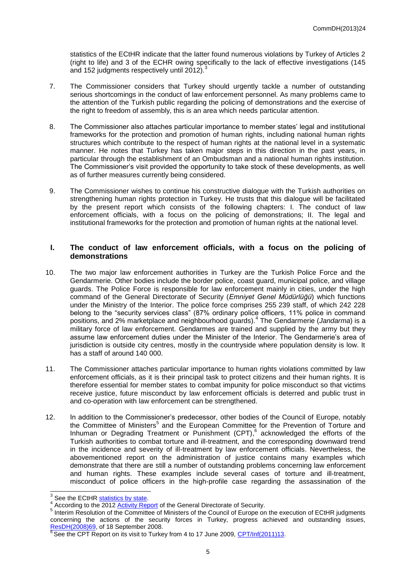statistics of the ECtHR indicate that the latter found numerous violations by Turkey of Articles 2 (right to life) and 3 of the ECHR owing specifically to the lack of effective investigations (145 and 152 judgments respectively until 2012). $\frac{3}{2}$ 

- 7. The Commissioner considers that Turkey should urgently tackle a number of outstanding serious shortcomings in the conduct of law enforcement personnel. As many problems came to the attention of the Turkish public regarding the policing of demonstrations and the exercise of the right to freedom of assembly, this is an area which needs particular attention.
- 8. The Commissioner also attaches particular importance to member states' legal and institutional frameworks for the protection and promotion of human rights, including national human rights structures which contribute to the respect of human rights at the national level in a systematic manner. He notes that Turkey has taken major steps in this direction in the past years, in particular through the establishment of an Ombudsman and a national human rights institution. The Commissioner's visit provided the opportunity to take stock of these developments, as well as of further measures currently being considered.
- 9. The Commissioner wishes to continue his constructive dialogue with the Turkish authorities on strengthening human rights protection in Turkey. He trusts that this dialogue will be facilitated by the present report which consists of the following chapters: I. The conduct of law enforcement officials, with a focus on the policing of demonstrations; II. The legal and institutional frameworks for the protection and promotion of human rights at the national level.

## **I. The conduct of law enforcement officials, with a focus on the policing of demonstrations**

- 10. The two major law enforcement authorities in Turkey are the Turkish Police Force and the Gendarmerie. Other bodies include the border police, coast guard, municipal police, and village guards. The Police Force is responsible for law enforcement mainly in cities, under the high command of the General Directorate of Security (*Emniyet Genel Müdürlüğü*) which functions under the Ministry of the Interior. The police force comprises 255 239 staff, of which 242 228 belong to the "security services class" (87% ordinary police officers, 11% police in command positions, and 2% marketplace and neighbourhood guards).<sup>4</sup> The Gendarmerie (*Jandarma*) is a military force of law enforcement. Gendarmes are trained and supplied by the army but they assume law enforcement duties under the Minister of the Interior. The Gendarmerie's area of jurisdiction is outside city centres, mostly in the countryside where population density is low. It has a staff of around 140 000.
- 11. The Commissioner attaches particular importance to human rights violations committed by law enforcement officials, as it is their principal task to protect citizens and their human rights. It is therefore essential for member states to combat impunity for police misconduct so that victims receive justice, future misconduct by law enforcement officials is deterred and public trust in and co-operation with law enforcement can be strengthened.
- 12. In addition to the Commissioner's predecessor, other bodies of the Council of Europe, notably the Committee of Ministers<sup>5</sup> and the European Committee for the Prevention of Torture and Inhuman or Degrading Treatment or Punishment (CPT), 6 acknowledged the efforts of the Turkish authorities to combat torture and ill-treatment, and the corresponding downward trend in the incidence and severity of ill-treatment by law enforcement officials. Nevertheless, the abovementioned report on the administration of justice contains many examples which demonstrate that there are still a number of outstanding problems concerning law enforcement and human rights. These examples include several cases of torture and ill-treatment, misconduct of police officers in the high-profile case regarding the assassination of the

**SECONDED THE SET OF SET SECONDED**<br>
See the ECtHR [statistics by state.](http://www.echr.coe.int/Pages/home.aspx?p=reports&c=#n1347956587550_pointer)

<sup>&</sup>lt;sup>4</sup> According to the 2012 [Activity Report](http://www.egm.gov.tr/SiteAssets/Sayfalar/StratejiGelistirmeFaaliyetleri/2012_yili_faaliyet_raporu.pdf) of the General Directorate of Security.

<sup>&</sup>lt;sup>5</sup> Interim Resolution of the Committee of Ministers of the Council of Europe on the execution of ECtHR judgments concerning the actions of the security forces in Turkey, progress achieved and outstanding issues, [ResDH\(2008\)69,](https://wcd.coe.int/ViewDoc.jsp?Ref=CM/ResDH%282008%2969&Language=lanEnglish&Ver=original&Site=CM&BackColorInternet=C3C3C3&BackColorIntranet=EDB021&BackColorLogged=F5D383) of 18 September 2008.

<sup>&</sup>lt;sup>6</sup> See the CPT Report on its visit to Turkey from 4 to 17 June 2009, [CPT/Inf\(2011\)13.](http://www.cpt.coe.int/documents/tur/2011-13-inf-eng.htm)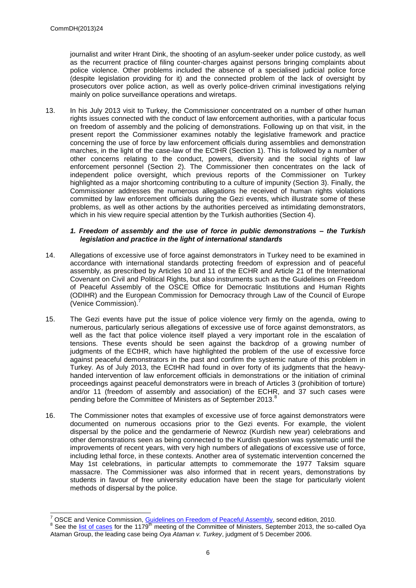journalist and writer Hrant Dink, the shooting of an asylum-seeker under police custody, as well as the recurrent practice of filing counter-charges against persons bringing complaints about police violence. Other problems included the absence of a specialised judicial police force (despite legislation providing for it) and the connected problem of the lack of oversight by prosecutors over police action, as well as overly police-driven criminal investigations relying mainly on police surveillance operations and wiretaps.

13. In his July 2013 visit to Turkey, the Commissioner concentrated on a number of other human rights issues connected with the conduct of law enforcement authorities, with a particular focus on freedom of assembly and the policing of demonstrations. Following up on that visit, in the present report the Commissioner examines notably the legislative framework and practice concerning the use of force by law enforcement officials during assemblies and demonstration marches, in the light of the case-law of the ECtHR (Section 1). This is followed by a number of other concerns relating to the conduct, powers, diversity and the social rights of law enforcement personnel (Section 2). The Commissioner then concentrates on the lack of independent police oversight, which previous reports of the Commissioner on Turkey highlighted as a major shortcoming contributing to a culture of impunity (Section 3). Finally, the Commissioner addresses the numerous allegations he received of human rights violations committed by law enforcement officials during the Gezi events, which illustrate some of these problems, as well as other actions by the authorities perceived as intimidating demonstrators, which in his view require special attention by the Turkish authorities (Section 4).

#### *1. Freedom of assembly and the use of force in public demonstrations – the Turkish legislation and practice in the light of international standards*

- 14. Allegations of excessive use of force against demonstrators in Turkey need to be examined in accordance with international standards protecting freedom of expression and of peaceful assembly, as prescribed by Articles 10 and 11 of the ECHR and Article 21 of the International Covenant on Civil and Political Rights, but also instruments such as the Guidelines on Freedom of Peaceful Assembly of the OSCE Office for Democratic Institutions and Human Rights (ODIHR) and the European Commission for Democracy through Law of the Council of Europe (Venice Commission).
- 15. The Gezi events have put the issue of police violence very firmly on the agenda, owing to numerous, particularly serious allegations of excessive use of force against demonstrators, as well as the fact that police violence itself played a very important role in the escalation of tensions. These events should be seen against the backdrop of a growing number of judgments of the ECtHR, which have highlighted the problem of the use of excessive force against peaceful demonstrators in the past and confirm the systemic nature of this problem in Turkey. As of July 2013, the ECtHR had found in over forty of its judgments that the heavyhanded intervention of law enforcement officials in demonstrations or the initiation of criminal proceedings against peaceful demonstrators were in breach of Articles 3 (prohibition of torture) and/or 11 (freedom of assembly and association) of the ECHR, and 37 such cases were pending before the Committee of Ministers as of September 2013.<sup>8</sup>
- 16. The Commissioner notes that examples of excessive use of force against demonstrators were documented on numerous occasions prior to the Gezi events. For example, the violent dispersal by the police and the gendarmerie of Newroz (Kurdish new year) celebrations and other demonstrations seen as being connected to the Kurdish question was systematic until the improvements of recent years, with very high numbers of allegations of excessive use of force, including lethal force, in these contexts. Another area of systematic intervention concerned the May 1st celebrations, in particular attempts to commemorate the 1977 Taksim square massacre. The Commissioner was also informed that in recent years, demonstrations by students in favour of free university education have been the stage for particularly violent methods of dispersal by the police.

<sup>1</sup> <sup>7</sup> OSCE and Venice Commission, [Guidelines on Freedom of Peaceful Assembly,](http://www.osce.org/odihr/73405?download=true) second edition, 2010.

<sup>&</sup>lt;sup>8</sup> See the [list of cases](https://wcd.coe.int/ViewDoc.jsp?Ref=CM/Del/OJ/DH%282013%291179&Language=lanEnglish&Ver=prel0006&Site=CM&BackColorInternet=DBDCF2&BackColorIntranet=FDC864&BackColorLogged=FDC864) for the 1179<sup>th</sup> meeting of the Committee of Ministers, September 2013, the so-called Oya Ataman Group, the leading case being *Oya Ataman v. Turkey*, judgment of 5 December 2006.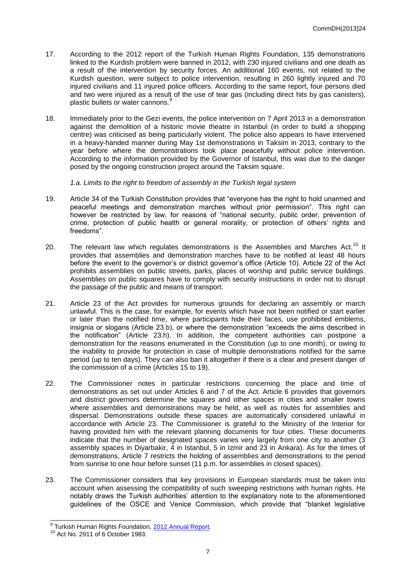- 17. According to the 2012 report of the Turkish Human Rights Foundation, 135 demonstrations linked to the Kurdish problem were banned in 2012, with 230 injured civilians and one death as a result of the intervention by security forces. An additional 160 events, not related to the Kurdish question, were subject to police intervention, resulting in 260 lightly injured and 70 injured civilians and 11 injured police officers. According to the same report, four persons died and two were injured as a result of the use of tear gas (including direct hits by gas canisters), plastic bullets or water cannons.<sup>9</sup>
- 18. Immediately prior to the Gezi events, the police intervention on 7 April 2013 in a demonstration against the demolition of a historic movie theatre in Istanbul (in order to build a shopping centre) was criticised as being particularly violent. The police also appears to have intervened in a heavy-handed manner during May 1st demonstrations in Taksim in 2013, contrary to the year before where the demonstrations took place peacefully without police intervention. According to the information provided by the Governor of Istanbul, this was due to the danger posed by the ongoing construction project around the Taksim square.

*1.a. Limits to the right to freedom of assembly in the Turkish legal system*

- 19. Article 34 of the Turkish Constitution provides that "everyone has the right to hold unarmed and peaceful meetings and demonstration marches without prior permission". This right can however be restricted by law, for reasons of "national security, public order, prevention of crime, protection of public health or general morality, or protection of others' rights and freedoms".
- 20. The relevant law which regulates demonstrations is the Assemblies and Marches Act.<sup>10</sup> It provides that assemblies and demonstration marches have to be notified at least 48 hours before the event to the governor's or district governor's office (Article 10). Article 22 of the Act prohibits assemblies on public streets, parks, places of worship and public service buildings. Assemblies on public squares have to comply with security instructions in order not to disrupt the passage of the public and means of transport.
- 21. Article 23 of the Act provides for numerous grounds for declaring an assembly or march unlawful. This is the case, for example, for events which have not been notified or start earlier or later than the notified time, where participants hide their faces, use prohibited emblems, insignia or slogans (Article 23.b), or where the demonstration "exceeds the aims described in the notification" (Article 23.h). In addition, the competent authorities can postpone a demonstration for the reasons enumerated in the Constitution (up to one month), or owing to the inability to provide for protection in case of multiple demonstrations notified for the same period (up to ten days). They can also ban it altogether if there is a clear and present danger of the commission of a crime (Articles 15 to 19).
- 22. The Commissioner notes in particular restrictions concerning the place and time of demonstrations as set out under Articles 6 and 7 of the Act. Article 6 provides that governors and district governors determine the squares and other spaces in cities and smaller towns where assemblies and demonstrations may be held, as well as routes for assemblies and dispersal. Demonstrations outside these spaces are automatically considered unlawful in accordance with Article 23. The Commissioner is grateful to the Ministry of the Interior for having provided him with the relevant planning documents for four cities. These documents indicate that the number of designated spaces varies very largely from one city to another (3 assembly spaces in Diyarbakir, 4 in Istanbul, 5 in Izmir and 23 in Ankara). As for the times of demonstrations, Article 7 restricts the holding of assemblies and demonstrations to the period from sunrise to one hour before sunset (11 p.m. for assemblies in closed spaces).
- 23. The Commissioner considers that key provisions in European standards must be taken into account when assessing the compatibility of such sweeping restrictions with human rights. He notably draws the Turkish authorities' attention to the explanatory note to the aforementioned guidelines of the OSCE and Venice Commission, which provide that "blanket legislative

 9 Turkish Human Rights Foundation, [2012 Annual Report.](http://www.tihv.org.tr/dosya_arsiv/da674374be00e3ead9c74df09730c7ff.pdf)

Act No. 2911 of 6 October 1983.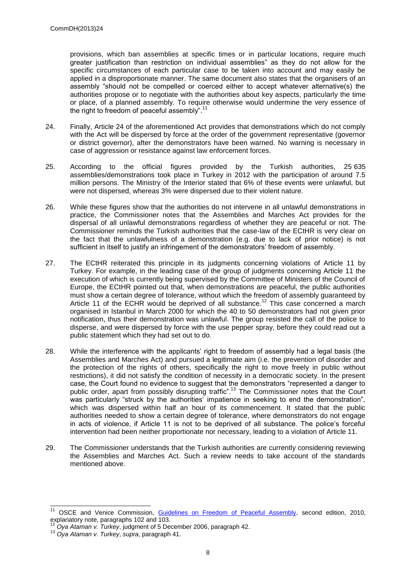provisions, which ban assemblies at specific times or in particular locations, require much greater justification than restriction on individual assemblies" as they do not allow for the specific circumstances of each particular case to be taken into account and may easily be applied in a disproportionate manner. The same document also states that the organisers of an assembly "should not be compelled or coerced either to accept whatever alternative(s) the authorities propose or to negotiate with the authorities about key aspects, particularly the time or place, of a planned assembly. To require otherwise would undermine the very essence of the right to freedom of peaceful assembly".<sup>11</sup>

- 24. Finally, Article 24 of the aforementioned Act provides that demonstrations which do not comply with the Act will be dispersed by force at the order of the government representative (governor or district governor), after the demonstrators have been warned. No warning is necessary in case of aggression or resistance against law enforcement forces.
- 25. According to the official figures provided by the Turkish authorities, 25 635 assemblies/demonstrations took place in Turkey in 2012 with the participation of around 7.5 million persons. The Ministry of the Interior stated that 6% of these events were unlawful, but were not dispersed, whereas 3% were dispersed due to their violent nature.
- 26. While these figures show that the authorities do not intervene in all unlawful demonstrations in practice, the Commissioner notes that the Assemblies and Marches Act provides for the dispersal of all unlawful demonstrations regardless of whether they are peaceful or not. The Commissioner reminds the Turkish authorities that the case-law of the ECtHR is very clear on the fact that the unlawfulness of a demonstration (e.g. due to lack of prior notice) is not sufficient in itself to justify an infringement of the demonstrators' freedom of assembly.
- 27. The ECtHR reiterated this principle in its judgments concerning violations of Article 11 by Turkey. For example, in the leading case of the group of judgments concerning Article 11 the execution of which is currently being supervised by the Committee of Ministers of the Council of Europe, the ECtHR pointed out that, when demonstrations are peaceful, the public authorities must show a certain degree of tolerance, without which the freedom of assembly guaranteed by Article 11 of the ECHR would be deprived of all substance.<sup>12</sup> This case concerned a march organised in Istanbul in March 2000 for which the 40 to 50 demonstrators had not given prior notification, thus their demonstration was unlawful. The group resisted the call of the police to disperse, and were dispersed by force with the use pepper spray, before they could read out a public statement which they had set out to do.
- 28. While the interference with the applicants' right to freedom of assembly had a legal basis (the Assemblies and Marches Act) and pursued a legitimate aim (i.e. the prevention of disorder and the protection of the rights of others, specifically the right to move freely in public without restrictions), it did not satisfy the condition of necessity in a democratic society. In the present case, the Court found no evidence to suggest that the demonstrators "represented a danger to public order, apart from possibly disrupting traffic".<sup>13</sup> The Commissioner notes that the Court was particularly "struck by the authorities' impatience in seeking to end the demonstration", which was dispersed within half an hour of its commencement. It stated that the public authorities needed to show a certain degree of tolerance, where demonstrators do not engage in acts of violence, if Article 11 is not to be deprived of all substance. The police's forceful intervention had been neither proportionate nor necessary, leading to a violation of Article 11.
- 29. The Commissioner understands that the Turkish authorities are currently considering reviewing the Assemblies and Marches Act. Such a review needs to take account of the standards mentioned above.

-

<sup>&</sup>lt;sup>11</sup> OSCE and Venice Commission, [Guidelines on Freedom of Peaceful Assembly,](http://www.osce.org/odihr/73405?download=true) second edition, 2010, explanatory note, paragraphs 102 and 103.

<sup>12</sup> *Oya Ataman v. Turkey*, judgment of 5 December 2006, paragraph 42.

<sup>13</sup> *Oya Ataman v. Turkey*, *supra*, paragraph 41.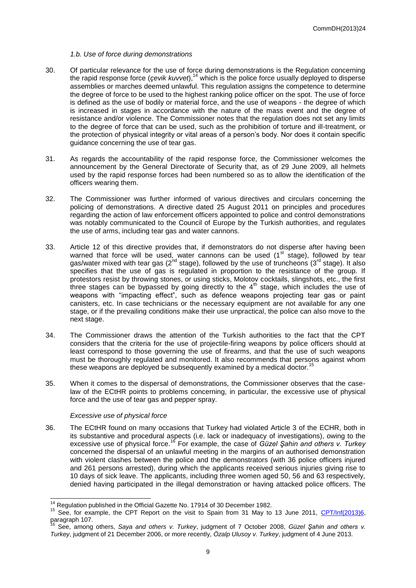#### *1.b. Use of force during demonstrations*

- 30. Of particular relevance for the use of force during demonstrations is the Regulation concerning the rapid response force (*çevik kuvvet*),<sup>14</sup> which is the police force usually deployed to disperse assemblies or marches deemed unlawful. This regulation assigns the competence to determine the degree of force to be used to the highest ranking police officer on the spot. The use of force is defined as the use of bodily or material force, and the use of weapons - the degree of which is increased in stages in accordance with the nature of the mass event and the degree of resistance and/or violence. The Commissioner notes that the regulation does not set any limits to the degree of force that can be used, such as the prohibition of torture and ill-treatment, or the protection of physical integrity or vital areas of a person's body. Nor does it contain specific guidance concerning the use of tear gas.
- 31. As regards the accountability of the rapid response force, the Commissioner welcomes the announcement by the General Directorate of Security that, as of 29 June 2009, all helmets used by the rapid response forces had been numbered so as to allow the identification of the officers wearing them.
- 32. The Commissioner was further informed of various directives and circulars concerning the policing of demonstrations. A directive dated 25 August 2011 on principles and procedures regarding the action of law enforcement officers appointed to police and control demonstrations was notably communicated to the Council of Europe by the Turkish authorities, and regulates the use of arms, including tear gas and water cannons.
- 33. Article 12 of this directive provides that, if demonstrators do not disperse after having been warned that force will be used, water cannons can be used  $(1<sup>st</sup>$  stage), followed by tear gas/water mixed with tear gas (2<sup>nd</sup> stage), followed by the use of truncheons (3<sup>rd</sup> stage). It also specifies that the use of gas is regulated in proportion to the resistance of the group. If protestors resist by throwing stones, or using sticks, Molotov cocktails, slingshots, etc., the first three stages can be bypassed by going directly to the 4<sup>th</sup> stage, which includes the use of weapons with "impacting effect", such as defence weapons projecting tear gas or paint canisters, etc. In case technicians or the necessary equipment are not available for any one stage, or if the prevailing conditions make their use unpractical, the police can also move to the next stage.
- 34. The Commissioner draws the attention of the Turkish authorities to the fact that the CPT considers that the criteria for the use of projectile-firing weapons by police officers should at least correspond to those governing the use of firearms, and that the use of such weapons must be thoroughly regulated and monitored. It also recommends that persons against whom these weapons are deployed be subsequently examined by a medical doctor.<sup>15</sup>
- 35. When it comes to the dispersal of demonstrations, the Commissioner observes that the caselaw of the ECtHR points to problems concerning, in particular, the excessive use of physical force and the use of tear gas and pepper spray.

#### *Excessive use of physical force*

36. The ECtHR found on many occasions that Turkey had violated Article 3 of the ECHR, both in its substantive and procedural aspects (i.e. lack or inadequacy of investigations), owing to the excessive use of physical force.<sup>16</sup> For example, the case of *Güzel Şahin and others v. Turkey*  concerned the dispersal of an unlawful meeting in the margins of an authorised demonstration with violent clashes between the police and the demonstrators (with 36 police officers injured and 261 persons arrested), during which the applicants received serious injuries giving rise to 10 days of sick leave. The applicants, including three women aged 50, 56 and 63 respectively, denied having participated in the illegal demonstration or having attacked police officers. The

  $14$  Regulation published in the Official Gazette No. 17914 of 30 December 1982.

<sup>&</sup>lt;sup>15</sup> See, for example, the CPT Report on the visit to Spain from 31 May to 13 June 2011, [CPT/Inf\(2013\)6,](http://www.cpt.coe.int/documents/esp/2013-06-inf-eng.htm) paragraph 107.

<sup>16</sup> See, among others, *Saya and others v. Turkey*, judgment of 7 October 2008, *Güzel Şahin and others v. Turkey*, judgment of 21 December 2006, or more recently, *Özalp Ulusoy v. Turkey*, judgment of 4 June 2013.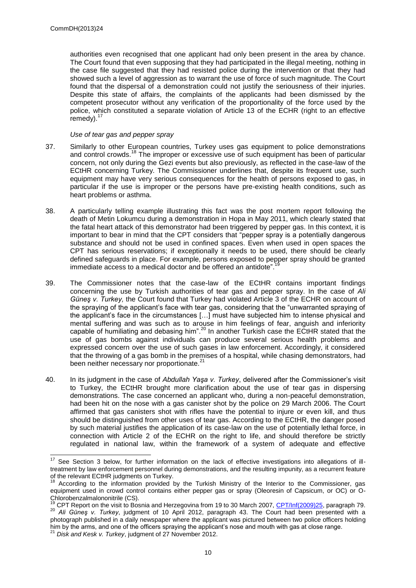authorities even recognised that one applicant had only been present in the area by chance. The Court found that even supposing that they had participated in the illegal meeting, nothing in the case file suggested that they had resisted police during the intervention or that they had showed such a level of aggression as to warrant the use of force of such magnitude. The Court found that the dispersal of a demonstration could not justify the seriousness of their injuries. Despite this state of affairs, the complaints of the applicants had been dismissed by the competent prosecutor without any verification of the proportionality of the force used by the police, which constituted a separate violation of Article 13 of the ECHR (right to an effective  $remedv$ ).<sup>1</sup>

#### *Use of tear gas and pepper spray*

- 37. Similarly to other European countries, Turkey uses gas equipment to police demonstrations and control crowds.<sup>18</sup> The improper or excessive use of such equipment has been of particular concern, not only during the Gezi events but also previously, as reflected in the case-law of the ECtHR concerning Turkey. The Commissioner underlines that, despite its frequent use, such equipment may have very serious consequences for the health of persons exposed to gas, in particular if the use is improper or the persons have pre-existing health conditions, such as heart problems or asthma.
- 38. A particularly telling example illustrating this fact was the post mortem report following the death of Metin Lokumcu during a demonstration in Hopa in May 2011, which clearly stated that the fatal heart attack of this demonstrator had been triggered by pepper gas. In this context, it is important to bear in mind that the CPT considers that "pepper spray is a potentially dangerous substance and should not be used in confined spaces. Even when used in open spaces the CPT has serious reservations; if exceptionally it needs to be used, there should be clearly defined safeguards in place. For example, persons exposed to pepper spray should be granted immediate assess to a madisel dectar and be effered an estidate<sup>7, 19</sup> immediate access to a medical doctor and be offered an antidote".
- 39. The Commissioner notes that the case-law of the ECtHR contains important findings concerning the use by Turkish authorities of tear gas and pepper spray. In the case of *Ali Güneş v. Turkey,* the Court found that Turkey had violated Article 3 of the ECHR on account of the spraying of the applicant's face with tear gas, considering that the "unwarranted spraying of the applicant's face in the circumstances […] must have subjected him to intense physical and mental suffering and was such as to arouse in him feelings of fear, anguish and inferiority capable of humiliating and debasing him".<sup>20</sup> In another Turkish case the ECtHR stated that the use of gas bombs against individuals can produce several serious health problems and expressed concern over the use of such gases in law enforcement. Accordingly, it considered that the throwing of a gas bomb in the premises of a hospital, while chasing demonstrators, had been neither necessary nor proportionate.<sup>21</sup>
- 40. In its judgment in the case of *Abdullah Yaşa v. Turkey*, delivered after the Commissioner's visit to Turkey, the ECtHR brought more clarification about the use of tear gas in dispersing demonstrations. The case concerned an applicant who, during a non-peaceful demonstration, had been hit on the nose with a gas canister shot by the police on 29 March 2006. The Court affirmed that gas canisters shot with rifles have the potential to injure or even kill, and thus should be distinguished from other uses of tear gas. According to the ECtHR, the danger posed by such material justifies the application of its case-law on the use of potentially lethal force, in connection with Article 2 of the ECHR on the right to life, and should therefore be strictly regulated in national law, within the framework of a system of adequate and effective

 $17$ See Section 3 below, for further information on the lack of effective investigations into allegations of illtreatment by law enforcement personnel during demonstrations, and the resulting impunity, as a recurrent feature of the relevant ECtHR judgments on Turkey.

According to the information provided by the Turkish Ministry of the Interior to the Commissioner, gas equipment used in crowd control contains either pepper gas or spray (Oleoresin of Capsicum, or OC) or O-Chlorobenzalmalononitrile (CS).

<sup>&</sup>lt;sup>19</sup> CPT Report on the visit to Bosnia and Herzegovina from 19 to 30 March 2007, [CPT/Inf\(2009\)25,](http://www.cpt.coe.int/documents/bih/2009-25-inf-eng.htm) paragraph 79. <sup>20</sup> *Ali Güneş v. Turkey*, judgment of 10 April 2012, paragraph 43. The Court had been presented with a photograph published in a daily newspaper where the applicant was pictured between two police officers holding him by the arms, and one of the officers spraying the applicant's nose and mouth with gas at close range.

<sup>21</sup> *Disk and Kesk v. Turkey*, judgment of 27 November 2012.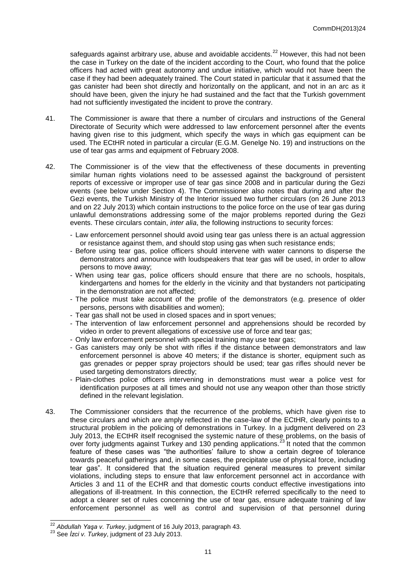safeguards against arbitrary use, abuse and avoidable accidents.<sup>22</sup> However, this had not been the case in Turkey on the date of the incident according to the Court, who found that the police officers had acted with great autonomy and undue initiative, which would not have been the case if they had been adequately trained. The Court stated in particular that it assumed that the gas canister had been shot directly and horizontally on the applicant, and not in an arc as it should have been, given the injury he had sustained and the fact that the Turkish government had not sufficiently investigated the incident to prove the contrary.

- 41. The Commissioner is aware that there a number of circulars and instructions of the General Directorate of Security which were addressed to law enforcement personnel after the events having given rise to this judgment, which specify the ways in which gas equipment can be used. The ECtHR noted in particular a circular (E.G.M. Genelge No. 19) and instructions on the use of tear gas arms and equipment of February 2008.
- 42. The Commissioner is of the view that the effectiveness of these documents in preventing similar human rights violations need to be assessed against the background of persistent reports of excessive or improper use of tear gas since 2008 and in particular during the Gezi events (see below under Section 4). The Commissioner also notes that during and after the Gezi events, the Turkish Ministry of the Interior issued two further circulars (on 26 June 2013 and on 22 July 2013) which contain instructions to the police force on the use of tear gas during unlawful demonstrations addressing some of the major problems reported during the Gezi events. These circulars contain, *inter alia*, the following instructions to security forces:
	- Law enforcement personnel should avoid using tear gas unless there is an actual aggression or resistance against them, and should stop using gas when such resistance ends;
	- Before using tear gas, police officers should intervene with water cannons to disperse the demonstrators and announce with loudspeakers that tear gas will be used, in order to allow persons to move away;
	- When using tear gas, police officers should ensure that there are no schools, hospitals, kindergartens and homes for the elderly in the vicinity and that bystanders not participating in the demonstration are not affected;
	- The police must take account of the profile of the demonstrators (e.g. presence of older persons, persons with disabilities and women);
	- Tear gas shall not be used in closed spaces and in sport venues;
	- The intervention of law enforcement personnel and apprehensions should be recorded by video in order to prevent allegations of excessive use of force and tear gas;
	- Only law enforcement personnel with special training may use tear gas;
	- Gas canisters may only be shot with rifles if the distance between demonstrators and law enforcement personnel is above 40 meters; if the distance is shorter, equipment such as gas grenades or pepper spray projectors should be used; tear gas rifles should never be used targeting demonstrators directly:
	- Plain-clothes police officers intervening in demonstrations must wear a police vest for identification purposes at all times and should not use any weapon other than those strictly defined in the relevant legislation.
- 43. The Commissioner considers that the recurrence of the problems, which have given rise to these circulars and which are amply reflected in the case-law of the ECtHR, clearly points to a structural problem in the policing of demonstrations in Turkey. In a judgment delivered on 23 July 2013, the ECtHR itself recognised the systemic nature of these problems, on the basis of over forty judgments against Turkey and 130 pending applications.<sup>23</sup> It noted that the common feature of these cases was "the authorities' failure to show a certain degree of tolerance towards peaceful gatherings and, in some cases, the precipitate use of physical force, including tear gas". It considered that the situation required general measures to prevent similar violations, including steps to ensure that law enforcement personnel act in accordance with Articles 3 and 11 of the ECHR and that domestic courts conduct effective investigations into allegations of ill-treatment. In this connection, the ECtHR referred specifically to the need to adopt a clearer set of rules concerning the use of tear gas, ensure adequate training of law enforcement personnel as well as control and supervision of that personnel during

<sup>22</sup> *Abdullah Yaşa v. Turkey*, judgment of 16 July 2013, paragraph 43.

<sup>23</sup> See *İzci v. Turkey*, judgment of 23 July 2013.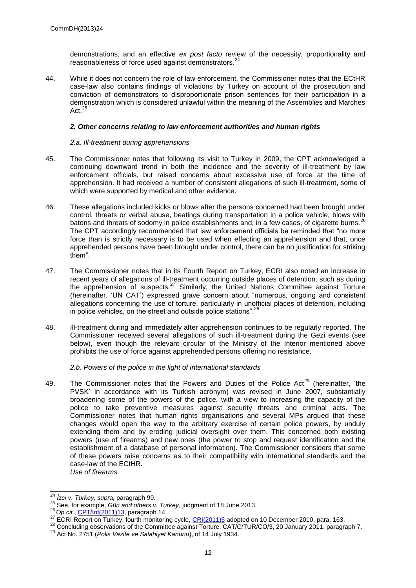demonstrations, and an effective *ex post facto* review of the necessity, proportionality and reasonableness of force used against demonstrators.<sup>24</sup>

44. While it does not concern the role of law enforcement, the Commissioner notes that the ECtHR case-law also contains findings of violations by Turkey on account of the prosecution and conviction of demonstrators to disproportionate prison sentences for their participation in a demonstration which is considered unlawful within the meaning of the Assemblies and Marches Act.<sup>25</sup>

#### *2. Other concerns relating to law enforcement authorities and human rights*

#### *2.a. Ill-treatment during apprehensions*

- 45. The Commissioner notes that following its visit to Turkey in 2009, the CPT acknowledged a continuing downward trend in both the incidence and the severity of ill-treatment by law enforcement officials, but raised concerns about excessive use of force at the time of apprehension. It had received a number of consistent allegations of such ill-treatment, some of which were supported by medical and other evidence.
- 46. These allegations included kicks or blows after the persons concerned had been brought under control, threats or verbal abuse, beatings during transportation in a police vehicle, blows with batons and threats of sodomy in police establishments and, in a few cases, of cigarette burns.<sup>26</sup> The CPT accordingly recommended that law enforcement officials be reminded that "no more force than is strictly necessary is to be used when effecting an apprehension and that, once apprehended persons have been brought under control, there can be no justification for striking them".
- 47. The Commissioner notes that in its Fourth Report on Turkey, ECRI also noted an increase in recent years of allegations of ill-treatment occurring outside places of detention, such as during the apprehension of suspects.<sup>27</sup> Similarly, the United Nations Committee against Torture (hereinafter, 'UN CAT') expressed grave concern about "numerous, ongoing and consistent allegations concerning the use of torture, particularly in unofficial places of detention, including in police vehicles, on the street and outside police stations".<sup>28</sup>
- 48. Ill-treatment during and immediately after apprehension continues to be regularly reported. The Commissioner received several allegations of such ill-treatment during the Gezi events (see below), even though the relevant circular of the Ministry of the Interior mentioned above prohibits the use of force against apprehended persons offering no resistance.

*2.b. Powers of the police in the light of international standards*

49. The Commissioner notes that the Powers and Duties of the Police Act<sup>29</sup> (hereinafter, 'the PVSK' in accordance with its Turkish acronym) was revised in June 2007, substantially broadening some of the powers of the police, with a view to increasing the capacity of the police to take preventive measures against security threats and criminal acts. The Commissioner notes that human rights organisations and several MPs argued that these changes would open the way to the arbitrary exercise of certain police powers, by unduly extending them and by eroding judicial oversight over them. This concerned both existing powers (use of firearms) and new ones (the power to stop and request identification and the establishment of a database of personal information). The Commissioner considers that some of these powers raise concerns as to their compatibility with international standards and the case-law of the ECtHR. *Use of firearms*

 $\overline{a}$ <sup>24</sup> *İzci v. Turkey*, *supra,* paragraph 99.

<sup>25</sup> See, for example, *Gün and others v. Turkey*, judgment of 18 June 2013.

<sup>26</sup> *Op.cit.*, [CPT/Inf\(2011\)13,](http://www.cpt.coe.int/documents/tur/2011-13-inf-eng.htm) paragraph 14.

<sup>&</sup>lt;sup>27</sup> ECRI Report on Turkey, fourth monitoring cycle, **CRI(2011)5** adopted on 10 December 2010, para. 163.

<sup>28</sup> Concluding observations of the Committee against Torture, CAT/C/TUR/CO/3, 20 January 2011, paragraph 7.

<sup>29</sup> Act No. 2751 (*Polis Vazife ve Salahiyet Kanunu*), of 14 July 1934.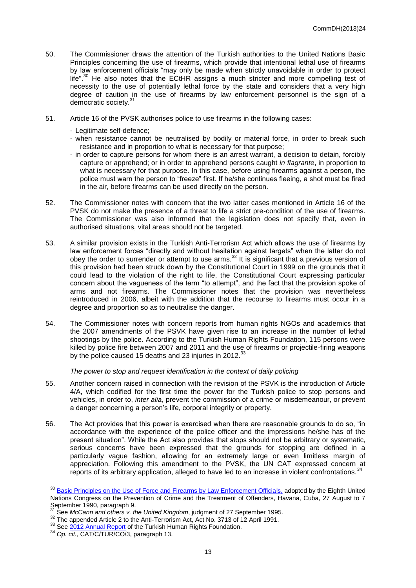- 50. The Commissioner draws the attention of the Turkish authorities to the United Nations Basic Principles concerning the use of firearms, which provide that intentional lethal use of firearms by law enforcement officials "may only be made when strictly unavoidable in order to protect life".<sup>30</sup> He also notes that the ECtHR assigns a much stricter and more compelling test of necessity to the use of potentially lethal force by the state and considers that a very high degree of caution in the use of firearms by law enforcement personnel is the sign of a democratic society.<sup>31</sup>
- 51. Article 16 of the PVSK authorises police to use firearms in the following cases:
	- Legitimate self-defence;
	- when resistance cannot be neutralised by bodily or material force, in order to break such resistance and in proportion to what is necessary for that purpose;
	- in order to capture persons for whom there is an arrest warrant, a decision to detain, forcibly capture or apprehend; or in order to apprehend persons caught *in flagrante*, in proportion to what is necessary for that purpose. In this case, before using firearms against a person, the police must warn the person to "freeze" first. If he/she continues fleeing, a shot must be fired in the air, before firearms can be used directly on the person.
- 52. The Commissioner notes with concern that the two latter cases mentioned in Article 16 of the PVSK do not make the presence of a threat to life a strict pre-condition of the use of firearms. The Commissioner was also informed that the legislation does not specify that, even in authorised situations, vital areas should not be targeted.
- 53. A similar provision exists in the Turkish Anti-Terrorism Act which allows the use of firearms by law enforcement forces "directly and without hesitation against targets" when the latter do not obey the order to surrender or attempt to use arms.<sup>32</sup> It is significant that a previous version of this provision had been struck down by the Constitutional Court in 1999 on the grounds that it could lead to the violation of the right to life, the Constitutional Court expressing particular concern about the vagueness of the term "to attempt", and the fact that the provision spoke of arms and not firearms. The Commissioner notes that the provision was nevertheless reintroduced in 2006, albeit with the addition that the recourse to firearms must occur in a degree and proportion so as to neutralise the danger.
- 54. The Commissioner notes with concern reports from human rights NGOs and academics that the 2007 amendments of the PSVK have given rise to an increase in the number of lethal shootings by the police. According to the Turkish Human Rights Foundation, 115 persons were killed by police fire between 2007 and 2011 and the use of firearms or projectile-firing weapons by the police caused 15 deaths and 23 injuries in 2012.<sup>33</sup>

#### *The power to stop and request identification in the context of daily policing*

- 55. Another concern raised in connection with the revision of the PSVK is the introduction of Article 4/A, which codified for the first time the power for the Turkish police to stop persons and vehicles, in order to, *inter alia*, prevent the commission of a crime or misdemeanour, or prevent a danger concerning a person's life, corporal integrity or property.
- 56. The Act provides that this power is exercised when there are reasonable grounds to do so, "in accordance with the experience of the police officer and the impressions he/she has of the present situation". While the Act also provides that stops should not be arbitrary or systematic, serious concerns have been expressed that the grounds for stopping are defined in a particularly vague fashion, allowing for an extremely large or even limitless margin of appreciation. Following this amendment to the PVSK, the UN CAT expressed concern at reports of its arbitrary application, alleged to have led to an increase in violent confrontations.

-

<sup>&</sup>lt;sup>30</sup> [Basic Principles on the Use of Force and Firearms by Law Enforcement Officials,](http://www.unrol.org/doc.aspx?d=2246) adopted by the Eighth United Nations Congress on the Prevention of Crime and the Treatment of Offenders, Havana, Cuba, 27 August to 7 September 1990, paragraph 9.

<sup>31</sup> See *McCann and others v. the United Kingdom*, judgment of 27 September 1995.

<sup>&</sup>lt;sup>32</sup> The appended Article 2 to the Anti-Terrorism Act, Act No. 3713 of 12 April 1991.

<sup>&</sup>lt;sup>33</sup> See **2012 Annual Report** of the Turkish Human Rights Foundation.

<sup>34</sup> *Op. cit.*, CAT/C/TUR/CO/3, paragraph 13.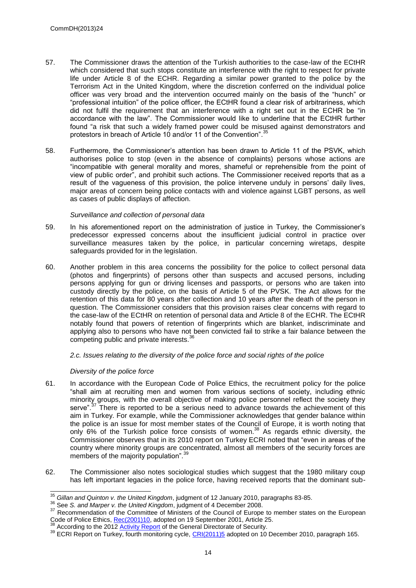- 57. The Commissioner draws the attention of the Turkish authorities to the case-law of the ECtHR which considered that such stops constitute an interference with the right to respect for private life under Article 8 of the ECHR. Regarding a similar power granted to the police by the Terrorism Act in the United Kingdom, where the discretion conferred on the individual police officer was very broad and the intervention occurred mainly on the basis of the "hunch" or "professional intuition" of the police officer, the ECtHR found a clear risk of arbitrariness, which did not fulfil the requirement that an interference with a right set out in the ECHR be "in accordance with the law". The Commissioner would like to underline that the ECtHR further found "a risk that such a widely framed power could be misused against demonstrators and protestors in breach of Article 10 and/or 11 of the Convention".<sup>35</sup>
- 58. Furthermore, the Commissioner's attention has been drawn to Article 11 of the PSVK, which authorises police to stop (even in the absence of complaints) persons whose actions are "incompatible with general morality and mores, shameful or reprehensible from the point of view of public order", and prohibit such actions. The Commissioner received reports that as a result of the vagueness of this provision, the police intervene unduly in persons' daily lives, major areas of concern being police contacts with and violence against LGBT persons, as well as cases of public displays of affection.

#### *Surveillance and collection of personal data*

- 59. In his aforementioned report on the administration of justice in Turkey, the Commissioner's predecessor expressed concerns about the insufficient judicial control in practice over surveillance measures taken by the police, in particular concerning wiretaps, despite safeguards provided for in the legislation.
- 60. Another problem in this area concerns the possibility for the police to collect personal data (photos and fingerprints) of persons other than suspects and accused persons, including persons applying for gun or driving licenses and passports, or persons who are taken into custody directly by the police, on the basis of Article 5 of the PVSK. The Act allows for the retention of this data for 80 years after collection and 10 years after the death of the person in question. The Commissioner considers that this provision raises clear concerns with regard to the case-law of the ECtHR on retention of personal data and Article 8 of the ECHR. The ECtHR notably found that powers of retention of fingerprints which are blanket, indiscriminate and applying also to persons who have not been convicted fail to strike a fair balance between the competing public and private interests.<sup>36</sup>

#### *2.c. Issues relating to the diversity of the police force and social rights of the police*

#### *Diversity of the police force*

- 61. In accordance with the European Code of Police Ethics, the recruitment policy for the police "shall aim at recruiting men and women from various sections of society, including ethnic minority groups, with the overall objective of making police personnel reflect the society they serve".<sup>37</sup> There is reported to be a serious need to advance towards the achievement of this aim in Turkey. For example, while the Commissioner acknowledges that gender balance within the police is an issue for most member states of the Council of Europe, it is worth noting that only 6% of the Turkish police force consists of women.<sup>38</sup> As regards ethnic diversity, the Commissioner observes that in its 2010 report on Turkey ECRI noted that "even in areas of the country where minority groups are concentrated, almost all members of the security forces are members of the majority population".<sup>39</sup>
- 62. The Commissioner also notes sociological studies which suggest that the 1980 military coup has left important legacies in the police force, having received reports that the dominant sub-

 $\overline{a}$ <sup>35</sup> *Gillan and Quinton v. the United Kingdom*, judgment of 12 January 2010, paragraphs 83-85.

<sup>36</sup> See *S. and Marper v. the United Kingdom*, judgment of 4 December 2008.

<sup>&</sup>lt;sup>37</sup> Recommendation of the Committee of Ministers of the Council of Europe to member states on the European Code of Police Ethics[, Rec\(2001\)10,](https://wcd.coe.int/ViewDoc.jsp?id=223251) adopted on 19 September 2001, Article 25.

According to the 2012 [Activity Report](http://www.egm.gov.tr/SiteAssets/Sayfalar/StratejiGelistirmeFaaliyetleri/2012_yili_faaliyet_raporu.pdf) of the General Directorate of Security.

<sup>39</sup> ECRI Report on Turkey, fourth monitoring cycle, [CRI\(2011\)5](http://www.coe.int/t/dghl/monitoring/ecri/country-by-country/turkey/TUR-CBC-IV-2011-005-ENG.pdf) adopted on 10 December 2010, paragraph 165.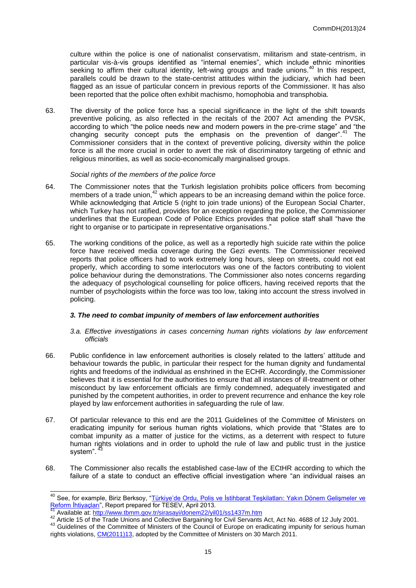culture within the police is one of nationalist conservatism, militarism and state-centrism, in particular vis-à-vis groups identified as "internal enemies", which include ethnic minorities seeking to affirm their cultural identity, left-wing groups and trade unions.<sup>40</sup> In this respect, parallels could be drawn to the state-centrist attitudes within the judiciary, which had been flagged as an issue of particular concern in previous reports of the Commissioner. It has also been reported that the police often exhibit machismo, homophobia and transphobia.

63. The diversity of the police force has a special significance in the light of the shift towards preventive policing, as also reflected in the recitals of the 2007 Act amending the PVSK, according to which "the police needs new and modern powers in the pre-crime stage" and "the changing security concept puts the emphasis on the prevention of danger".<sup>41</sup> The Commissioner considers that in the context of preventive policing, diversity within the police force is all the more crucial in order to avert the risk of discriminatory targeting of ethnic and religious minorities, as well as socio-economically marginalised groups.

#### *Social rights of the members of the police force*

- 64. The Commissioner notes that the Turkish legislation prohibits police officers from becoming members of a trade union, $42$  which appears to be an increasing demand within the police force. While acknowledging that Article 5 (right to join trade unions) of the European Social Charter, which Turkey has not ratified, provides for an exception regarding the police, the Commissioner underlines that the European Code of Police Ethics provides that police staff shall "have the right to organise or to participate in representative organisations."
- 65. The working conditions of the police, as well as a reportedly high suicide rate within the police force have received media coverage during the Gezi events. The Commissioner received reports that police officers had to work extremely long hours, sleep on streets, could not eat properly, which according to some interlocutors was one of the factors contributing to violent police behaviour during the demonstrations. The Commissioner also notes concerns regarding the adequacy of psychological counselling for police officers, having received reports that the number of psychologists within the force was too low, taking into account the stress involved in policing.

#### *3. The need to combat impunity of members of law enforcement authorities*

- *3.a. Effective investigations in cases concerning human rights violations by law enforcement officials*
- 66. Public confidence in law enforcement authorities is closely related to the latters' attitude and behaviour towards the public, in particular their respect for the human dignity and fundamental rights and freedoms of the individual as enshrined in the ECHR. Accordingly, the Commissioner believes that it is essential for the authorities to ensure that all instances of ill-treatment or other misconduct by law enforcement officials are firmly condemned, adequately investigated and punished by the competent authorities, in order to prevent recurrence and enhance the key role played by law enforcement authorities in safeguarding the rule of law.
- 67. Of particular relevance to this end are the 2011 Guidelines of the Committee of Ministers on eradicating impunity for serious human rights violations, which provide that "States are to combat impunity as a matter of justice for the victims, as a deterrent with respect to future human rights violations and in order to uphold the rule of law and public trust in the justice system".
- 68. The Commissioner also recalls the established case-law of the ECtHR according to which the failure of a state to conduct an effective official investigation where "an individual raises an

-

<sup>&</sup>lt;sup>40</sup> See, for example, Biriz Berksoy, "Türkiye'de Ordu, Polis ve İstihbarat Teşkilatları: Yakın Dönem Gelişmeler ve [Reform İhtiyaçları"](http://www.tesev.org.tr/Upload/Publication/7b5c8c8b-97be-413b-8214-53d9f6e81734/12653TR_GuvenlikSektorOzeti15_04_13onay.pdf), Report prepared for TESEV, April 2013.

Available at[: http://www.tbmm.gov.tr/sirasayi/donem22/yil01/ss1437m.htm](http://www.tbmm.gov.tr/sirasayi/donem22/yil01/ss1437m.htm)

Article 15 of the Trade Unions and Collective Bargaining for Civil Servants Act, Act No. 4688 of 12 July 2001.

<sup>&</sup>lt;sup>43</sup> Guidelines of the Committee of Ministers of the Council of Europe on eradicating impunity for serious human rights violations, [CM\(2011\)13,](https://wcd.coe.int/ViewDoc.jsp?id=1769177) adopted by the Committee of Ministers on 30 March 2011.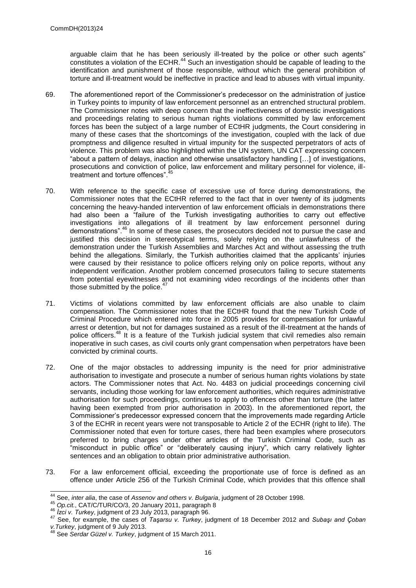arguable claim that he has been seriously ill-treated by the police or other such agents" constitutes a violation of the ECHR.<sup>44</sup> Such an investigation should be capable of leading to the identification and punishment of those responsible, without which the general prohibition of torture and ill-treatment would be ineffective in practice and lead to abuses with virtual impunity.

- 69. The aforementioned report of the Commissioner's predecessor on the administration of justice in Turkey points to impunity of law enforcement personnel as an entrenched structural problem. The Commissioner notes with deep concern that the ineffectiveness of domestic investigations and proceedings relating to serious human rights violations committed by law enforcement forces has been the subject of a large number of ECtHR judgments, the Court considering in many of these cases that the shortcomings of the investigation, coupled with the lack of due promptness and diligence resulted in virtual impunity for the suspected perpetrators of acts of violence. This problem was also highlighted within the UN system, UN CAT expressing concern "about a pattern of delays, inaction and otherwise unsatisfactory handling […] of investigations, prosecutions and conviction of police, law enforcement and military personnel for violence, illtreatment and torture offences".
- 70. With reference to the specific case of excessive use of force during demonstrations, the Commissioner notes that the ECtHR referred to the fact that in over twenty of its judgments concerning the heavy-handed intervention of law enforcement officials in demonstrations there had also been a "failure of the Turkish investigating authorities to carry out effective investigations into allegations of ill treatment by law enforcement personnel during demonstrations".<sup>46</sup> In some of these cases, the prosecutors decided not to pursue the case and justified this decision in stereotypical terms, solely relying on the unlawfulness of the demonstration under the Turkish Assemblies and Marches Act and without assessing the truth behind the allegations. Similarly, the Turkish authorities claimed that the applicants' injuries were caused by their resistance to police officers relying only on police reports, without any independent verification. Another problem concerned prosecutors failing to secure statements from potential eyewitnesses and not examining video recordings of the incidents other than those submitted by the police. $47$
- 71. Victims of violations committed by law enforcement officials are also unable to claim compensation. The Commissioner notes that the ECtHR found that the new Turkish Code of Criminal Procedure which entered into force in 2005 provides for compensation for unlawful arrest or detention, but not for damages sustained as a result of the ill-treatment at the hands of police officers.<sup>48</sup> It is a feature of the Turkish judicial system that civil remedies also remain inoperative in such cases, as civil courts only grant compensation when perpetrators have been convicted by criminal courts.
- 72. One of the major obstacles to addressing impunity is the need for prior administrative authorisation to investigate and prosecute a number of serious human rights violations by state actors. The Commissioner notes that Act. No. 4483 on judicial proceedings concerning civil servants, including those working for law enforcement authorities, which requires administrative authorisation for such proceedings, continues to apply to offences other than torture (the latter having been exempted from prior authorisation in 2003). In the aforementioned report, the Commissioner's predecessor expressed concern that the improvements made regarding Article 3 of the ECHR in recent years were not transposable to Article 2 of the ECHR (right to life). The Commissioner noted that even for torture cases, there had been examples where prosecutors preferred to bring charges under other articles of the Turkish Criminal Code, such as "misconduct in public office" or "deliberately causing injury", which carry relatively lighter sentences and an obligation to obtain prior administrative authorisation.
- 73. For a law enforcement official, exceeding the proportionate use of force is defined as an offence under Article 256 of the Turkish Criminal Code, which provides that this offence shall

 $\overline{a}$ <sup>44</sup> See, *inter alia*, the case of *Assenov and others v. Bulgaria*, judgment of 28 October 1998.

<sup>45</sup> *Op.cit.*, CAT/C/TUR/CO/3, 20 January 2011, paragraph 8

<sup>46</sup> *İzci v. Turkey*, judgment of 23 July 2013, paragraph 96.

<sup>47</sup> See, for example, the cases of *Taşarsu v. Turkey*, judgment of 18 December 2012 and *Subaşı and Çoban v.Turkey*, judgment of 9 July 2013.

<sup>48</sup> See *Serdar Güzel v. Turkey*, judgment of 15 March 2011.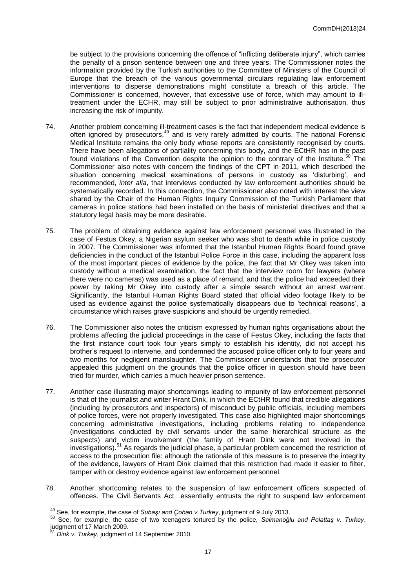be subject to the provisions concerning the offence of "inflicting deliberate injury", which carries the penalty of a prison sentence between one and three years. The Commissioner notes the information provided by the Turkish authorities to the Committee of Ministers of the Council of Europe that the breach of the various governmental circulars regulating law enforcement interventions to disperse demonstrations might constitute a breach of this article. The Commissioner is concerned, however, that excessive use of force, which may amount to illtreatment under the ECHR, may still be subject to prior administrative authorisation, thus increasing the risk of impunity.

- 74. Another problem concerning ill-treatment cases is the fact that independent medical evidence is often ignored by prosecutors,<sup>49</sup> and is very rarely admitted by courts. The national Forensic Medical Institute remains the only body whose reports are consistently recognised by courts. There have been allegations of partiality concerning this body, and the ECtHR has in the past found violations of the Convention despite the opinion to the contrary of the Institute.<sup>50</sup> The Commissioner also notes with concern the findings of the CPT in 2011, which described the situation concerning medical examinations of persons in custody as 'disturbing', and recommended, *inter alia*, that interviews conducted by law enforcement authorities should be systematically recorded. In this connection, the Commissioner also noted with interest the view shared by the Chair of the Human Rights Inquiry Commission of the Turkish Parliament that cameras in police stations had been installed on the basis of ministerial directives and that a statutory legal basis may be more desirable.
- 75. The problem of obtaining evidence against law enforcement personnel was illustrated in the case of Festus Okey, a Nigerian asylum seeker who was shot to death while in police custody in 2007. The Commissioner was informed that the Istanbul Human Rights Board found grave deficiencies in the conduct of the Istanbul Police Force in this case, including the apparent loss of the most important pieces of evidence by the police, the fact that Mr Okey was taken into custody without a medical examination, the fact that the interview room for lawyers (where there were no cameras) was used as a place of remand, and that the police had exceeded their power by taking Mr Okey into custody after a simple search without an arrest warrant. Significantly, the Istanbul Human Rights Board stated that official video footage likely to be used as evidence against the police systematically disappears due to 'technical reasons', a circumstance which raises grave suspicions and should be urgently remedied.
- 76. The Commissioner also notes the criticism expressed by human rights organisations about the problems affecting the judicial proceedings in the case of Festus Okey, including the facts that the first instance court took four years simply to establish his identity, did not accept his brother's request to intervene, and condemned the accused police officer only to four years and two months for negligent manslaughter. The Commissioner understands that the prosecutor appealed this judgment on the grounds that the police officer in question should have been tried for murder, which carries a much heavier prison sentence.
- 77. Another case illustrating major shortcomings leading to impunity of law enforcement personnel is that of the journalist and writer Hrant Dink, in which the ECtHR found that credible allegations (including by prosecutors and inspectors) of misconduct by public officials, including members of police forces, were not properly investigated. This case also highlighted major shortcomings concerning administrative investigations, including problems relating to independence (investigations conducted by civil servants under the same hierarchical structure as the suspects) and victim involvement (the family of Hrant Dink were not involved in the investigations).<sup>51</sup> As regards the judicial phase, a particular problem concerned the restriction of access to the prosecution file: although the rationale of this measure is to preserve the integrity of the evidence, lawyers of Hrant Dink claimed that this restriction had made it easier to filter, tamper with or destroy evidence against law enforcement personnel.
- 78. Another shortcoming relates to the suspension of law enforcement officers suspected of offences. The Civil Servants Act essentially entrusts the right to suspend law enforcement

<sup>-</sup><sup>49</sup> See, for example, the case of *Subaşı and Çoban v.Turkey*, judgment of 9 July 2013.

<sup>50</sup> See, for example, the case of two teenagers tortured by the police, *Salmanoğlu and Polattaş v. Turkey*, judgment of 17 March 2009.

Dink v. Turkey, judgment of 14 September 2010.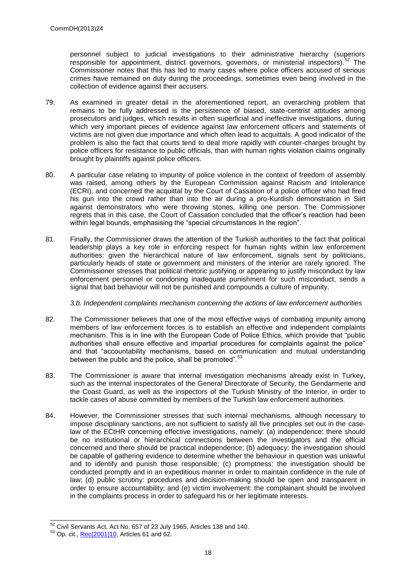personnel subject to judicial investigations to their administrative hierarchy (superiors responsible for appointment, district governors, governors, or ministerial inspectors).<sup>52</sup> The Commissioner notes that this has led to many cases where police officers accused of serious crimes have remained on duty during the proceedings, sometimes even being involved in the collection of evidence against their accusers.

- 79. As examined in greater detail in the aforementioned report, an overarching problem that remains to be fully addressed is the persistence of biased, state-centrist attitudes among prosecutors and judges, which results in often superficial and ineffective investigations, during which very important pieces of evidence against law enforcement officers and statements of victims are not given due importance and which often lead to acquittals. A good indicator of the problem is also the fact that courts tend to deal more rapidly with counter-charges brought by police officers for resistance to public officials, than with human rights violation claims originally brought by plaintiffs against police officers.
- 80. A particular case relating to impunity of police violence in the context of freedom of assembly was raised, among others by the European Commission against Racism and Intolerance (ECRI), and concerned the acquittal by the Court of Cassation of a police officer who had fired his gun into the crowd rather than into the air during a pro-Kurdish demonstration in Siirt against demonstrators who were throwing stones, killing one person. The Commissioner regrets that in this case, the Court of Cassation concluded that the officer's reaction had been within legal bounds, emphasising the "special circumstances in the region".
- 81. Finally, the Commissioner draws the attention of the Turkish authorities to the fact that political leadership plays a key role in enforcing respect for human rights within law enforcement authorities: given the hierarchical nature of law enforcement, signals sent by politicians, particularly heads of state or government and ministers of the interior are rarely ignored. The Commissioner stresses that political rhetoric justifying or appearing to justify misconduct by law enforcement personnel or condoning inadequate punishment for such misconduct, sends a signal that bad behaviour will not be punished and compounds a culture of impunity.

#### *3.b. Independent complaints mechanism concerning the actions of law enforcement authorities*

- 82. The Commissioner believes that one of the most effective ways of combating impunity among members of law enforcement forces is to establish an effective and independent complaints mechanism. This is in line with the European Code of Police Ethics, which provide that "public authorities shall ensure effective and impartial procedures for complaints against the police" and that "accountability mechanisms, based on communication and mutual understanding between the public and the police, shall be promoted".<sup>53</sup>
- 83. The Commissioner is aware that internal investigation mechanisms already exist in Turkey, such as the internal inspectorates of the General Directorate of Security, the Gendarmerie and the Coast Guard, as well as the inspectors of the Turkish Ministry of the Interior, in order to tackle cases of abuse committed by members of the Turkish law enforcement authorities.
- 84. However, the Commissioner stresses that such internal mechanisms, although necessary to impose disciplinary sanctions, are not sufficient to satisfy all five principles set out in the caselaw of the ECtHR concerning effective investigations, namely: (a) independence: there should be no institutional or hierarchical connections between the investigators and the official concerned and there should be practical independence; (b) adequacy: the investigation should be capable of gathering evidence to determine whether the behaviour in question was unlawful and to identify and punish those responsible; (c) promptness: the investigation should be conducted promptly and in an expeditious manner in order to maintain confidence in the rule of law; (d) public scrutiny: procedures and decision-making should be open and transparent in order to ensure accountability; and (e) victim involvement: the complainant should be involved in the complaints process in order to safeguard his or her legitimate interests.

 $\overline{a}$ 

 $52$  Civil Servants Act, Act No. 657 of 23 July 1965, Articles 138 and 140.

<sup>53</sup> Op. cit.[, Rec\(2001\)10,](https://wcd.coe.int/ViewDoc.jsp?id=223251) Articles 61 and 62.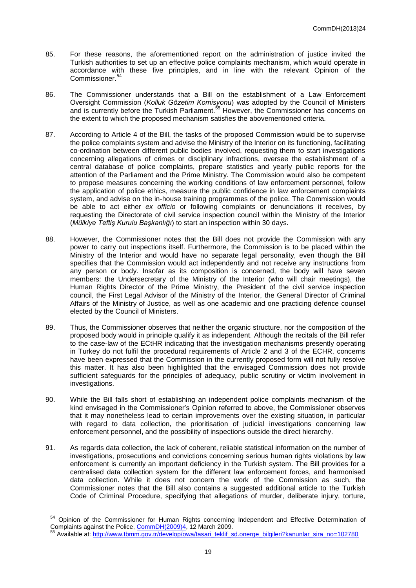- 85. For these reasons, the aforementioned report on the administration of justice invited the Turkish authorities to set up an effective police complaints mechanism, which would operate in accordance with these five principles, and in line with the relevant Opinion of the Commissioner.<sup>54</sup>
- 86. The Commissioner understands that a Bill on the establishment of a Law Enforcement Oversight Commission (*Kolluk Gözetim Komisyonu*) was adopted by the Council of Ministers and is currently before the Turkish Parliament.<sup>55</sup> However, the Commissioner has concerns on the extent to which the proposed mechanism satisfies the abovementioned criteria.
- 87. According to Article 4 of the Bill, the tasks of the proposed Commission would be to supervise the police complaints system and advise the Ministry of the Interior on its functioning, facilitating co-ordination between different public bodies involved, requesting them to start investigations concerning allegations of crimes or disciplinary infractions, oversee the establishment of a central database of police complaints, prepare statistics and yearly public reports for the attention of the Parliament and the Prime Ministry. The Commission would also be competent to propose measures concerning the working conditions of law enforcement personnel, follow the application of police ethics, measure the public confidence in law enforcement complaints system, and advise on the in-house training programmes of the police. The Commission would be able to act either *ex officio* or following complaints or denunciations it receives, by requesting the Directorate of civil service inspection council within the Ministry of the Interior (*Mülkiye Teftiş Kurulu Başkanlığı*) to start an inspection within 30 days.
- 88. However, the Commissioner notes that the Bill does not provide the Commission with any power to carry out inspections itself. Furthermore, the Commission is to be placed within the Ministry of the Interior and would have no separate legal personality, even though the Bill specifies that the Commission would act independently and not receive any instructions from any person or body. Insofar as its composition is concerned, the body will have seven members: the Undersecretary of the Ministry of the Interior (who will chair meetings), the Human Rights Director of the Prime Ministry, the President of the civil service inspection council, the First Legal Advisor of the Ministry of the Interior, the General Director of Criminal Affairs of the Ministry of Justice, as well as one academic and one practicing defence counsel elected by the Council of Ministers.
- 89. Thus, the Commissioner observes that neither the organic structure, nor the composition of the proposed body would in principle qualify it as independent. Although the recitals of the Bill refer to the case-law of the ECtHR indicating that the investigation mechanisms presently operating in Turkey do not fulfil the procedural requirements of Article 2 and 3 of the ECHR, concerns have been expressed that the Commission in the currently proposed form will not fully resolve this matter. It has also been highlighted that the envisaged Commission does not provide sufficient safeguards for the principles of adequacy, public scrutiny or victim involvement in investigations.
- 90. While the Bill falls short of establishing an independent police complaints mechanism of the kind envisaged in the Commissioner's Opinion referred to above, the Commissioner observes that it may nonetheless lead to certain improvements over the existing situation, in particular with regard to data collection, the prioritisation of judicial investigations concerning law enforcement personnel, and the possibility of inspections outside the direct hierarchy.
- 91. As regards data collection, the lack of coherent, reliable statistical information on the number of investigations, prosecutions and convictions concerning serious human rights violations by law enforcement is currently an important deficiency in the Turkish system. The Bill provides for a centralised data collection system for the different law enforcement forces, and harmonised data collection. While it does not concern the work of the Commission as such, the Commissioner notes that the Bill also contains a suggested additional article to the Turkish Code of Criminal Procedure, specifying that allegations of murder, deliberate injury, torture,

1

<sup>&</sup>lt;sup>54</sup> Opinion of the Commissioner for Human Rights concerning Independent and Effective Determination of Complaints against the Police[, CommDH\(2009\)4,](https://wcd.coe.int/ViewDoc.jsp?id=1417857) 12 March 2009.

Available at[: http://www.tbmm.gov.tr/develop/owa/tasari\\_teklif\\_sd.onerge\\_bilgileri?kanunlar\\_sira\\_no=102780](http://www.tbmm.gov.tr/develop/owa/tasari_teklif_sd.onerge_bilgileri?kanunlar_sira_no=102780)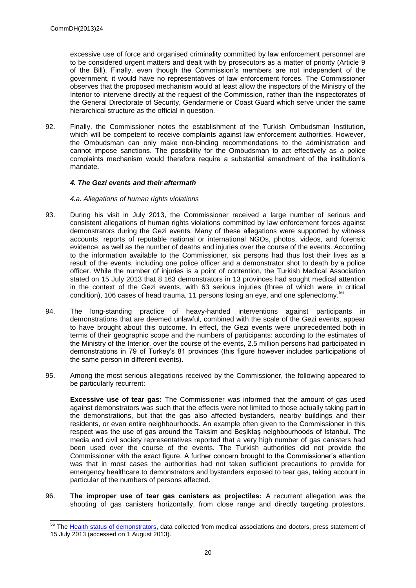$\overline{a}$ 

excessive use of force and organised criminality committed by law enforcement personnel are to be considered urgent matters and dealt with by prosecutors as a matter of priority (Article 9 of the Bill). Finally, even though the Commission's members are not independent of the government, it would have no representatives of law enforcement forces. The Commissioner observes that the proposed mechanism would at least allow the inspectors of the Ministry of the Interior to intervene directly at the request of the Commission, rather than the inspectorates of the General Directorate of Security, Gendarmerie or Coast Guard which serve under the same hierarchical structure as the official in question.

92. Finally, the Commissioner notes the establishment of the Turkish Ombudsman Institution, which will be competent to receive complaints against law enforcement authorities. However, the Ombudsman can only make non-binding recommendations to the administration and cannot impose sanctions. The possibility for the Ombudsman to act effectively as a police complaints mechanism would therefore require a substantial amendment of the institution's mandate.

#### *4. The Gezi events and their aftermath*

#### *4.a. Allegations of human rights violations*

- 93. During his visit in July 2013, the Commissioner received a large number of serious and consistent allegations of human rights violations committed by law enforcement forces against demonstrators during the Gezi events. Many of these allegations were supported by witness accounts, reports of reputable national or international NGOs, photos, videos, and forensic evidence, as well as the number of deaths and injuries over the course of the events. According to the information available to the Commissioner, six persons had thus lost their lives as a result of the events, including one police officer and a demonstrator shot to death by a police officer. While the number of injuries is a point of contention, the Turkish Medical Association stated on 15 July 2013 that 8 163 demonstrators in 13 provinces had sought medical attention in the context of the Gezi events, with 63 serious injuries (three of which were in critical condition), 106 cases of head trauma, 11 persons losing an eye, and one splenectomy.<sup>5</sup>
- 94. The long-standing practice of heavy-handed interventions against participants in demonstrations that are deemed unlawful, combined with the scale of the Gezi events, appear to have brought about this outcome. In effect, the Gezi events were unprecedented both in terms of their geographic scope and the numbers of participants: according to the estimates of the Ministry of the Interior, over the course of the events, 2.5 million persons had participated in demonstrations in 79 of Turkey's 81 provinces (this figure however includes participations of the same person in different events).
- 95. Among the most serious allegations received by the Commissioner, the following appeared to be particularly recurrent:

**Excessive use of tear gas:** The Commissioner was informed that the amount of gas used against demonstrators was such that the effects were not limited to those actually taking part in the demonstrations, but that the gas also affected bystanders, nearby buildings and their residents, or even entire neighbourhoods. An example often given to the Commissioner in this respect was the use of gas around the Taksim and Beşiktaş neighbourhoods of Istanbul. The media and civil society representatives reported that a very high number of gas canisters had been used over the course of the events. The Turkish authorities did not provide the Commissioner with the exact figure. A further concern brought to the Commissioner's attention was that in most cases the authorities had not taken sufficient precautions to provide for emergency healthcare to demonstrators and bystanders exposed to tear gas, taking account in particular of the numbers of persons affected.

96. **The improper use of tear gas canisters as projectiles:** A recurrent allegation was the shooting of gas canisters horizontally, from close range and directly targeting protestors,

<sup>&</sup>lt;sup>56</sup> The [Health status of demonstrators,](http://www.ttb.org.tr/images/stories/file/english.doc) data collected from medical associations and doctors, press statement of 15 July 2013 (accessed on 1 August 2013).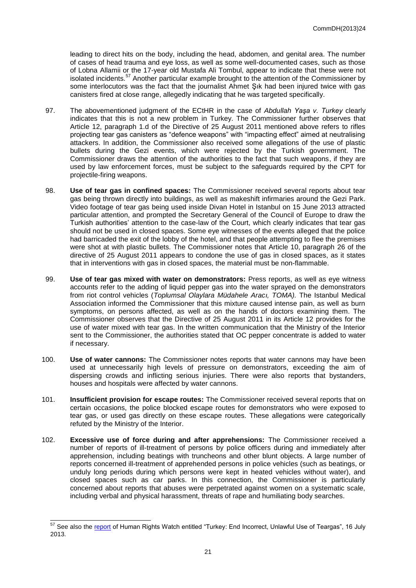leading to direct hits on the body, including the head, abdomen, and genital area. The number of cases of head trauma and eye loss, as well as some well-documented cases, such as those of Lobna Allamii or the 17-year old Mustafa Ali Tombul, appear to indicate that these were not isolated incidents.<sup>57</sup> Another particular example brought to the attention of the Commissioner by some interlocutors was the fact that the journalist Ahmet Şık had been injured twice with gas canisters fired at close range, allegedly indicating that he was targeted specifically.

- 97. The abovementioned judgment of the ECtHR in the case of *Abdullah Yaşa v. Turkey* clearly indicates that this is not a new problem in Turkey. The Commissioner further observes that Article 12, paragraph 1.d of the Directive of 25 August 2011 mentioned above refers to rifles projecting tear gas canisters as "defence weapons" with "impacting effect" aimed at neutralising attackers. In addition, the Commissioner also received some allegations of the use of plastic bullets during the Gezi events, which were rejected by the Turkish government. The Commissioner draws the attention of the authorities to the fact that such weapons, if they are used by law enforcement forces, must be subject to the safeguards required by the CPT for projectile-firing weapons.
- 98. **Use of tear gas in confined spaces:** The Commissioner received several reports about tear gas being thrown directly into buildings, as well as makeshift infirmaries around the Gezi Park. Video footage of tear gas being used inside Divan Hotel in Istanbul on 15 June 2013 attracted particular attention, and prompted the Secretary General of the Council of Europe to draw the Turkish authorities' attention to the case-law of the Court, which clearly indicates that tear gas should not be used in closed spaces. Some eye witnesses of the events alleged that the police had barricaded the exit of the lobby of the hotel, and that people attempting to flee the premises were shot at with plastic bullets. The Commissioner notes that Article 10, paragraph 26 of the directive of 25 August 2011 appears to condone the use of gas in closed spaces, as it states that in interventions with gas in closed spaces, the material must be non-flammable.
- 99. **Use of tear gas mixed with water on demonstrators:** Press reports, as well as eye witness accounts refer to the adding of liquid pepper gas into the water sprayed on the demonstrators from riot control vehicles (*Toplumsal Olaylara Müdahele Aracı, TOMA).* The Istanbul Medical Association informed the Commissioner that this mixture caused intense pain, as well as burn symptoms, on persons affected, as well as on the hands of doctors examining them. The Commissioner observes that the Directive of 25 August 2011 in its Article 12 provides for the use of water mixed with tear gas. In the written communication that the Ministry of the Interior sent to the Commissioner, the authorities stated that OC pepper concentrate is added to water if necessary.
- 100. **Use of water cannons:** The Commissioner notes reports that water cannons may have been used at unnecessarily high levels of pressure on demonstrators, exceeding the aim of dispersing crowds and inflicting serious injuries. There were also reports that bystanders, houses and hospitals were affected by water cannons.
- 101. **Insufficient provision for escape routes:** The Commissioner received several reports that on certain occasions, the police blocked escape routes for demonstrators who were exposed to tear gas, or used gas directly on these escape routes. These allegations were categorically refuted by the Ministry of the Interior.
- 102. **Excessive use of force during and after apprehensions:** The Commissioner received a number of reports of ill-treatment of persons by police officers during and immediately after apprehension, including beatings with truncheons and other blunt objects. A large number of reports concerned ill-treatment of apprehended persons in police vehicles (such as beatings, or unduly long periods during which persons were kept in heated vehicles without water), and closed spaces such as car parks. In this connection, the Commissioner is particularly concerned about reports that abuses were perpetrated against women on a systematic scale, including verbal and physical harassment, threats of rape and humiliating body searches.

 $\overline{a}$ 

<sup>&</sup>lt;sup>57</sup> See also the [report](http://www.hrw.org/print/news/2013/07/16/turkey-end-incorrect-unlawful-use-teargas) of Human Rights Watch entitled "Turkey: End Incorrect, Unlawful Use of Teargas", 16 July 2013.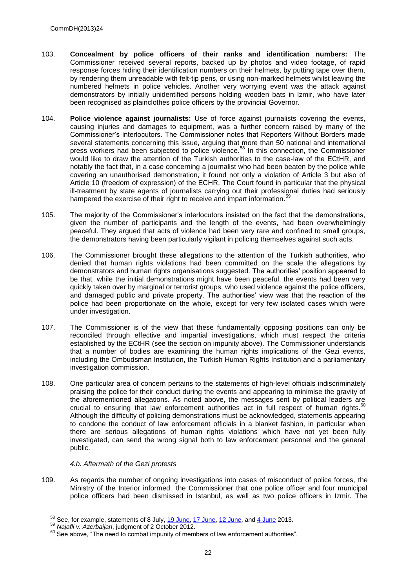- 103. **Concealment by police officers of their ranks and identification numbers:** The Commissioner received several reports, backed up by photos and video footage, of rapid response forces hiding their identification numbers on their helmets, by putting tape over them, by rendering them unreadable with felt-tip pens, or using non-marked helmets whilst leaving the numbered helmets in police vehicles. Another very worrying event was the attack against demonstrators by initially unidentified persons holding wooden bats in Izmir, who have later been recognised as plainclothes police officers by the provincial Governor.
- 104. **Police violence against journalists:** Use of force against journalists covering the events, causing injuries and damages to equipment, was a further concern raised by many of the Commissioner's interlocutors. The Commissioner notes that Reporters Without Borders made several statements concerning this issue, arguing that more than 50 national and international press workers had been subjected to police violence.<sup>58</sup> In this connection, the Commissioner would like to draw the attention of the Turkish authorities to the case-law of the ECtHR, and notably the fact that, in a case concerning a journalist who had been beaten by the police while covering an unauthorised demonstration, it found not only a violation of Article 3 but also of Article 10 (freedom of expression) of the ECHR. The Court found in particular that the physical ill-treatment by state agents of journalists carrying out their professional duties had seriously hampered the exercise of their right to receive and impart information.<sup>59</sup>
- 105. The majority of the Commissioner's interlocutors insisted on the fact that the demonstrations, given the number of participants and the length of the events, had been overwhelmingly peaceful. They argued that acts of violence had been very rare and confined to small groups, the demonstrators having been particularly vigilant in policing themselves against such acts.
- 106. The Commissioner brought these allegations to the attention of the Turkish authorities, who denied that human rights violations had been committed on the scale the allegations by demonstrators and human rights organisations suggested. The authorities' position appeared to be that, while the initial demonstrations might have been peaceful, the events had been very quickly taken over by marginal or terrorist groups, who used violence against the police officers, and damaged public and private property. The authorities' view was that the reaction of the police had been proportionate on the whole, except for very few isolated cases which were under investigation.
- 107. The Commissioner is of the view that these fundamentally opposing positions can only be reconciled through effective and impartial investigations, which must respect the criteria established by the ECtHR (see the section on impunity above). The Commissioner understands that a number of bodies are examining the human rights implications of the Gezi events, including the Ombudsman Institution, the Turkish Human Rights Institution and a parliamentary investigation commission.
- 108. One particular area of concern pertains to the statements of high-level officials indiscriminately praising the police for their conduct during the events and appearing to minimise the gravity of the aforementioned allegations. As noted above, the messages sent by political leaders are crucial to ensuring that law enforcement authorities act in full respect of human rights.<sup>60</sup> Although the difficulty of policing demonstrations must be acknowledged, statements appearing to condone the conduct of law enforcement officials in a blanket fashion, in particular when there are serious allegations of human rights violations which have not yet been fully investigated, can send the wrong signal both to law enforcement personnel and the general public.

#### *4.b. Aftermath of the Gezi protests*

109. As regards the number of ongoing investigations into cases of misconduct of police forces, the Ministry of the Interior informed the Commissioner that one police officer and four municipal police officers had been dismissed in Istanbul, as well as two police officers in Izmir. The

1

 $58$  See, for example, statements of 8 July,  $19$  June,  $17$  June,  $12$  June, and  $4$  June 2013.

<sup>59</sup> *Najafli v. Azerbaijan*, judgment of 2 October 2012.

 $^{60}$  See above, "The need to combat impunity of members of law enforcement authorities".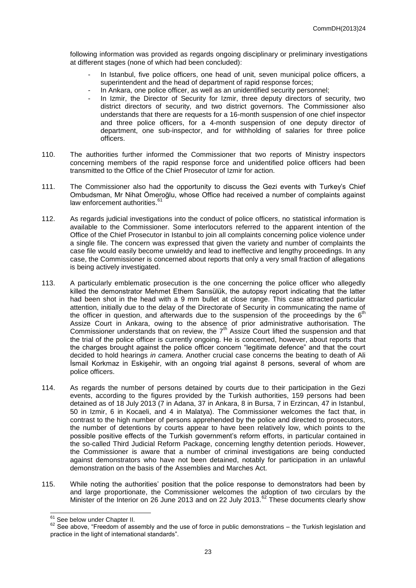following information was provided as regards ongoing disciplinary or preliminary investigations at different stages (none of which had been concluded):

- In Istanbul, five police officers, one head of unit, seven municipal police officers, a superintendent and the head of department of rapid response forces:
- In Ankara, one police officer, as well as an unidentified security personnel:
- In Izmir, the Director of Security for Izmir, three deputy directors of security, two district directors of security, and two district governors. The Commissioner also understands that there are requests for a 16-month suspension of one chief inspector and three police officers, for a 4-month suspension of one deputy director of department, one sub-inspector, and for withholding of salaries for three police officers.
- 110. The authorities further informed the Commissioner that two reports of Ministry inspectors concerning members of the rapid response force and unidentified police officers had been transmitted to the Office of the Chief Prosecutor of Izmir for action.
- 111. The Commissioner also had the opportunity to discuss the Gezi events with Turkey's Chief Ombudsman, Mr Nihat Ömeroğlu, whose Office had received a number of complaints against law enforcement authorities.<sup>61</sup>
- 112. As regards judicial investigations into the conduct of police officers, no statistical information is available to the Commissioner. Some interlocutors referred to the apparent intention of the Office of the Chief Prosecutor in Istanbul to join all complaints concerning police violence under a single file. The concern was expressed that given the variety and number of complaints the case file would easily become unwieldy and lead to ineffective and lengthy proceedings. In any case, the Commissioner is concerned about reports that only a very small fraction of allegations is being actively investigated.
- 113. A particularly emblematic prosecution is the one concerning the police officer who allegedly killed the demonstrator Mehmet Ethem Sarısülük, the autopsy report indicating that the latter had been shot in the head with a 9 mm bullet at close range. This case attracted particular attention, initially due to the delay of the Directorate of Security in communicating the name of the officer in question, and afterwards due to the suspension of the proceedings by the  $6<sup>th</sup>$ Assize Court in Ankara, owing to the absence of prior administrative authorisation. The Commissioner understands that on review, the 7<sup>th</sup> Assize Court lifted the suspension and that the trial of the police officer is currently ongoing. He is concerned, however, about reports that the charges brought against the police officer concern "legitimate defence" and that the court decided to hold hearings *in camera*. Another crucial case concerns the beating to death of Ali İsmail Korkmaz in Eskişehir, with an ongoing trial against 8 persons, several of whom are police officers.
- 114. As regards the number of persons detained by courts due to their participation in the Gezi events, according to the figures provided by the Turkish authorities, 159 persons had been detained as of 18 July 2013 (7 in Adana, 37 in Ankara, 8 in Bursa, 7 in Erzincan, 47 in Istanbul, 50 in Izmir, 6 in Kocaeli, and 4 in Malatya). The Commissioner welcomes the fact that, in contrast to the high number of persons apprehended by the police and directed to prosecutors, the number of detentions by courts appear to have been relatively low, which points to the possible positive effects of the Turkish government's reform efforts, in particular contained in the so-called Third Judicial Reform Package, concerning lengthy detention periods. However, the Commissioner is aware that a number of criminal investigations are being conducted against demonstrators who have not been detained, notably for participation in an unlawful demonstration on the basis of the Assemblies and Marches Act.
- 115. While noting the authorities' position that the police response to demonstrators had been by and large proportionate, the Commissioner welcomes the adoption of two circulars by the Minister of the Interior on 26 June 2013 and on 22 July 2013.<sup>62</sup> These documents clearly show

<sup>1</sup>  $61$  See below under Chapter II.

<sup>62</sup> See above, "Freedom of assembly and the use of force in public demonstrations – the Turkish legislation and practice in the light of international standards".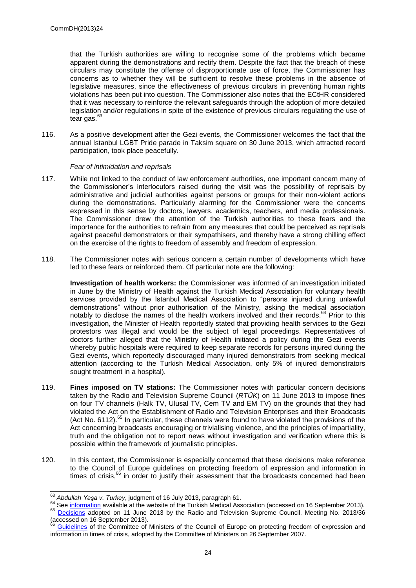that the Turkish authorities are willing to recognise some of the problems which became apparent during the demonstrations and rectify them. Despite the fact that the breach of these circulars may constitute the offense of disproportionate use of force, the Commissioner has concerns as to whether they will be sufficient to resolve these problems in the absence of legislative measures, since the effectiveness of previous circulars in preventing human rights violations has been put into question. The Commissioner also notes that the ECtHR considered that it was necessary to reinforce the relevant safeguards through the adoption of more detailed legislation and/or regulations in spite of the existence of previous circulars regulating the use of tear gas. $6$ 

116. As a positive development after the Gezi events, the Commissioner welcomes the fact that the annual Istanbul LGBT Pride parade in Taksim square on 30 June 2013, which attracted record participation, took place peacefully.

#### *Fear of intimidation and reprisals*

- 117. While not linked to the conduct of law enforcement authorities, one important concern many of the Commissioner's interlocutors raised during the visit was the possibility of reprisals by administrative and judicial authorities against persons or groups for their non-violent actions during the demonstrations. Particularly alarming for the Commissioner were the concerns expressed in this sense by doctors, lawyers, academics, teachers, and media professionals. The Commissioner drew the attention of the Turkish authorities to these fears and the importance for the authorities to refrain from any measures that could be perceived as reprisals against peaceful demonstrators or their sympathisers, and thereby have a strong chilling effect on the exercise of the rights to freedom of assembly and freedom of expression.
- 118. The Commissioner notes with serious concern a certain number of developments which have led to these fears or reinforced them. Of particular note are the following:

**Investigation of health workers:** the Commissioner was informed of an investigation initiated in June by the Ministry of Health against the Turkish Medical Association for voluntary health services provided by the Istanbul Medical Association to "persons injured during unlawful demonstrations" without prior authorisation of the Ministry, asking the medical association notably to disclose the names of the health workers involved and their records.<sup>64</sup> Prior to this investigation, the Minister of Health reportedly stated that providing health services to the Gezi protestors was illegal and would be the subject of legal proceedings. Representatives of doctors further alleged that the Ministry of Health initiated a policy during the Gezi events whereby public hospitals were required to keep separate records for persons injured during the Gezi events, which reportedly discouraged many injured demonstrators from seeking medical attention (according to the Turkish Medical Association, only 5% of injured demonstrators sought treatment in a hospital).

- 119. **Fines imposed on TV stations:** The Commissioner notes with particular concern decisions taken by the Radio and Television Supreme Council (*RTÜK*) on 11 June 2013 to impose fines on four TV channels (Halk TV, Ulusal TV, Cem TV and EM TV) on the grounds that they had violated the Act on the Establishment of Radio and Television Enterprises and their Broadcasts (Act No. 6112).<sup>65</sup> In particular, these channels were found to have violated the provisions of the Act concerning broadcasts encouraging or trivialising violence, and the principles of impartiality, truth and the obligation not to report news without investigation and verification where this is possible within the framework of journalistic principles.
- 120. In this context, the Commissioner is especially concerned that these decisions make reference to the Council of Europe guidelines on protecting freedom of expression and information in times of crisis,<sup>66</sup> in order to justify their assessment that the broadcasts concerned had been

 $\overline{a}$ <sup>63</sup> *Abdullah Yaşa v. Turkey*, judgment of 16 July 2013, paragraph 61.

<sup>&</sup>lt;sup>64</sup> Se[e information](http://www.ttb.org.tr/index.php/Haberler/izin-3863.html) available at the website of the Turkish Medical Association (accessed on 16 September 2013).

<sup>65</sup> [Decisions](http://www.rtuk.org.tr/sayfalar/IcerikGoster.aspx?icerik_id=6fd3bdf7-64c2-42de-96af-98d1b185621d) adopted on 11 June 2013 by the Radio and Television Supreme Council, Meeting No. 2013/36 (accessed on 16 September 2013).<br>
66 Cuidelines

<sup>66</sup> [Guidelines](https://wcd.coe.int/ViewDoc.jsp?id=1188493) of the Committee of Ministers of the Council of Europe on protecting freedom of expression and information in times of crisis, adopted by the Committee of Ministers on 26 September 2007.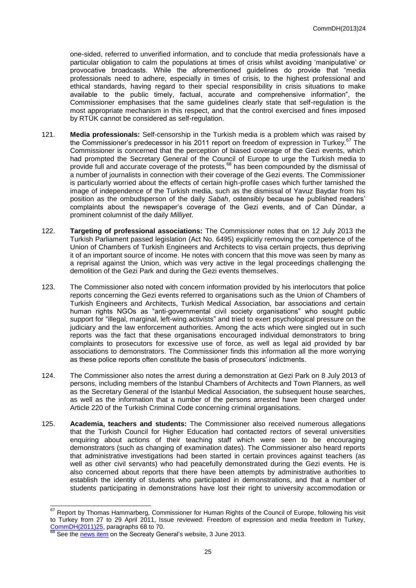one-sided, referred to unverified information, and to conclude that media professionals have a particular obligation to calm the populations at times of crisis whilst avoiding 'manipulative' or provocative broadcasts. While the aforementioned guidelines do provide that "media professionals need to adhere, especially in times of crisis, to the highest professional and ethical standards, having regard to their special responsibility in crisis situations to make available to the public timely, factual, accurate and comprehensive information", the Commissioner emphasises that the same guidelines clearly state that self-regulation is the most appropriate mechanism in this respect, and that the control exercised and fines imposed by RTÜK cannot be considered as self-regulation.

- 121. **Media professionals:** Self-censorship in the Turkish media is a problem which was raised by the Commissioner's predecessor in his 2011 report on freedom of expression in Turkey.<sup>67</sup> The Commissioner is concerned that the perception of biased coverage of the Gezi events, which had prompted the Secretary General of the Council of Europe to urge the Turkish media to provide full and accurate coverage of the protests,<sup>68</sup> has been compounded by the dismissal of a number of journalists in connection with their coverage of the Gezi events. The Commissioner is particularly worried about the effects of certain high-profile cases which further tarnished the image of independence of the Turkish media, such as the dismissal of Yavuz Baydar from his position as the ombudsperson of the daily *Sabah*, ostensibly because he published readers' complaints about the newspaper's coverage of the Gezi events, and of Can Dündar, a prominent columnist of the daily *Milliyet*.
- 122. **Targeting of professional associations:** The Commissioner notes that on 12 July 2013 the Turkish Parliament passed legislation (Act No. 6495) explicitly removing the competence of the Union of Chambers of Turkish Engineers and Architects to visa certain projects, thus depriving it of an important source of income. He notes with concern that this move was seen by many as a reprisal against the Union, which was very active in the legal proceedings challenging the demolition of the Gezi Park and during the Gezi events themselves.
- 123. The Commissioner also noted with concern information provided by his interlocutors that police reports concerning the Gezi events referred to organisations such as the Union of Chambers of Turkish Engineers and Architects, Turkish Medical Association, bar associations and certain human rights NGOs as "anti-governmental civil society organisations" who sought public support for "illegal, marginal, left-wing activists" and tried to exert psychological pressure on the judiciary and the law enforcement authorities. Among the acts which were singled out in such reports was the fact that these organisations encouraged individual demonstrators to bring complaints to prosecutors for excessive use of force, as well as legal aid provided by bar associations to demonstrators. The Commissioner finds this information all the more worrying as these police reports often constitute the basis of prosecutors' indictments.
- 124. The Commissioner also notes the arrest during a demonstration at Gezi Park on 8 July 2013 of persons, including members of the Istanbul Chambers of Architects and Town Planners, as well as the Secretary General of the Istanbul Medical Association, the subsequent house searches, as well as the information that a number of the persons arrested have been charged under Article 220 of the Turkish Criminal Code concerning criminal organisations.
- 125. **Academia, teachers and students:** The Commissioner also received numerous allegations that the Turkish Council for Higher Education had contacted rectors of several universities enquiring about actions of their teaching staff which were seen to be encouraging demonstrators (such as changing of examination dates). The Commissioner also heard reports that administrative investigations had been started in certain provinces against teachers (as well as other civil servants) who had peacefully demonstrated during the Gezi events. He is also concerned about reports that there have been attempts by administrative authorities to establish the identity of students who participated in demonstrations, and that a number of students participating in demonstrations have lost their right to university accommodation or

-

 $67$  Report by Thomas Hammarberg, Commissioner for Human Rights of the Council of Europe, following his visit to Turkey from 27 to 29 April 2011, Issue reviewed: Freedom of expression and media freedom in Turkey,  $CommDH(2011)25$ , paragraphs 68 to 70.</u>

See th[e news item](http://www.coe.int/en/web/secretary-general/news-2013/-/asset_publisher/EYlBJNjXtA5U/content/le-secretaire-general-exhorte-les-medias-turcs-a-assurer-une-couverture-complete-et-exacte-des-manifestations?redirect=http%3A%2F%2Fwww.coe.int%2Fen%2Fweb%2Fsecretary-general%2Fnews-2013%3Fp_p_id%3D101_INSTANCE_EYlBJNjXtA5U%26p_p_lifecycle%3D0%26p_p_state%3Dnormal%26p_p_mode%3Dview%26p_p_col_id%3Dcolumn-2%26p_p_col_count%3D1) on the Secreaty General's website, 3 June 2013.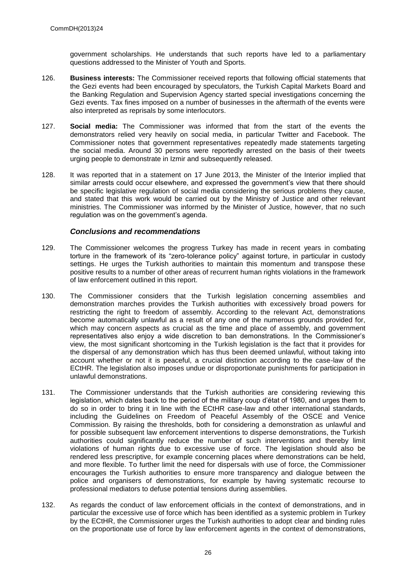government scholarships. He understands that such reports have led to a parliamentary questions addressed to the Minister of Youth and Sports.

- 126. **Business interests:** The Commissioner received reports that following official statements that the Gezi events had been encouraged by speculators, the Turkish Capital Markets Board and the Banking Regulation and Supervision Agency started special investigations concerning the Gezi events. Tax fines imposed on a number of businesses in the aftermath of the events were also interpreted as reprisals by some interlocutors.
- 127. **Social media:** The Commissioner was informed that from the start of the events the demonstrators relied very heavily on social media, in particular Twitter and Facebook. The Commissioner notes that government representatives repeatedly made statements targeting the social media. Around 30 persons were reportedly arrested on the basis of their tweets urging people to demonstrate in Izmir and subsequently released.
- 128. It was reported that in a statement on 17 June 2013, the Minister of the Interior implied that similar arrests could occur elsewhere, and expressed the government's view that there should be specific legislative regulation of social media considering the serious problems they cause, and stated that this work would be carried out by the Ministry of Justice and other relevant ministries. The Commissioner was informed by the Minister of Justice, however, that no such regulation was on the government's agenda.

## *Conclusions and recommendations*

- 129. The Commissioner welcomes the progress Turkey has made in recent years in combating torture in the framework of its "zero-tolerance policy" against torture, in particular in custody settings. He urges the Turkish authorities to maintain this momentum and transpose these positive results to a number of other areas of recurrent human rights violations in the framework of law enforcement outlined in this report.
- 130. The Commissioner considers that the Turkish legislation concerning assemblies and demonstration marches provides the Turkish authorities with excessively broad powers for restricting the right to freedom of assembly. According to the relevant Act, demonstrations become automatically unlawful as a result of any one of the numerous grounds provided for, which may concern aspects as crucial as the time and place of assembly, and government representatives also enjoy a wide discretion to ban demonstrations. In the Commissioner's view, the most significant shortcoming in the Turkish legislation is the fact that it provides for the dispersal of any demonstration which has thus been deemed unlawful, without taking into account whether or not it is peaceful, a crucial distinction according to the case-law of the ECtHR. The legislation also imposes undue or disproportionate punishments for participation in unlawful demonstrations.
- 131. The Commissioner understands that the Turkish authorities are considering reviewing this legislation, which dates back to the period of the military coup d'état of 1980, and urges them to do so in order to bring it in line with the ECtHR case-law and other international standards, including the Guidelines on Freedom of Peaceful Assembly of the OSCE and Venice Commission. By raising the thresholds, both for considering a demonstration as unlawful and for possible subsequent law enforcement interventions to disperse demonstrations, the Turkish authorities could significantly reduce the number of such interventions and thereby limit violations of human rights due to excessive use of force. The legislation should also be rendered less prescriptive, for example concerning places where demonstrations can be held, and more flexible. To further limit the need for dispersals with use of force, the Commissioner encourages the Turkish authorities to ensure more transparency and dialogue between the police and organisers of demonstrations, for example by having systematic recourse to professional mediators to defuse potential tensions during assemblies.
- 132. As regards the conduct of law enforcement officials in the context of demonstrations, and in particular the excessive use of force which has been identified as a systemic problem in Turkey by the ECtHR, the Commissioner urges the Turkish authorities to adopt clear and binding rules on the proportionate use of force by law enforcement agents in the context of demonstrations,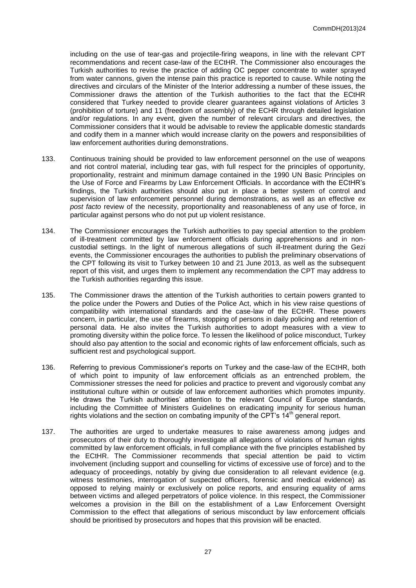including on the use of tear-gas and projectile-firing weapons, in line with the relevant CPT recommendations and recent case-law of the ECtHR. The Commissioner also encourages the Turkish authorities to revise the practice of adding OC pepper concentrate to water sprayed from water cannons, given the intense pain this practice is reported to cause. While noting the directives and circulars of the Minister of the Interior addressing a number of these issues, the Commissioner draws the attention of the Turkish authorities to the fact that the ECtHR considered that Turkey needed to provide clearer guarantees against violations of Articles 3 (prohibition of torture) and 11 (freedom of assembly) of the ECHR through detailed legislation and/or regulations. In any event, given the number of relevant circulars and directives, the Commissioner considers that it would be advisable to review the applicable domestic standards and codify them in a manner which would increase clarity on the powers and responsibilities of law enforcement authorities during demonstrations.

- 133. Continuous training should be provided to law enforcement personnel on the use of weapons and riot control material, including tear gas, with full respect for the principles of opportunity, proportionality, restraint and minimum damage contained in the 1990 UN Basic Principles on the Use of Force and Firearms by Law Enforcement Officials. In accordance with the ECtHR's findings, the Turkish authorities should also put in place a better system of control and supervision of law enforcement personnel during demonstrations, as well as an effective *ex post facto* review of the necessity, proportionality and reasonableness of any use of force, in particular against persons who do not put up violent resistance.
- 134. The Commissioner encourages the Turkish authorities to pay special attention to the problem of ill-treatment committed by law enforcement officials during apprehensions and in noncustodial settings. In the light of numerous allegations of such ill-treatment during the Gezi events, the Commissioner encourages the authorities to publish the preliminary observations of the CPT following its visit to Turkey between 10 and 21 June 2013, as well as the subsequent report of this visit, and urges them to implement any recommendation the CPT may address to the Turkish authorities regarding this issue.
- 135. The Commissioner draws the attention of the Turkish authorities to certain powers granted to the police under the Powers and Duties of the Police Act, which in his view raise questions of compatibility with international standards and the case-law of the ECtHR. These powers concern, in particular, the use of firearms, stopping of persons in daily policing and retention of personal data. He also invites the Turkish authorities to adopt measures with a view to promoting diversity within the police force. To lessen the likelihood of police misconduct, Turkey should also pay attention to the social and economic rights of law enforcement officials, such as sufficient rest and psychological support.
- 136. Referring to previous Commissioner's reports on Turkey and the case-law of the ECtHR, both of which point to impunity of law enforcement officials as an entrenched problem, the Commissioner stresses the need for policies and practice to prevent and vigorously combat any institutional culture within or outside of law enforcement authorities which promotes impunity. He draws the Turkish authorities' attention to the relevant Council of Europe standards, including the Committee of Ministers Guidelines on eradicating impunity for serious human rights violations and the section on combating impunity of the CPT's  $14<sup>th</sup>$  general report.
- 137. The authorities are urged to undertake measures to raise awareness among judges and prosecutors of their duty to thoroughly investigate all allegations of violations of human rights committed by law enforcement officials, in full compliance with the five principles established by the ECtHR. The Commissioner recommends that special attention be paid to victim involvement (including support and counselling for victims of excessive use of force) and to the adequacy of proceedings, notably by giving due consideration to all relevant evidence (e.g. witness testimonies, interrogation of suspected officers, forensic and medical evidence) as opposed to relying mainly or exclusively on police reports, and ensuring equality of arms between victims and alleged perpetrators of police violence. In this respect, the Commissioner welcomes a provision in the Bill on the establishment of a Law Enforcement Oversight Commission to the effect that allegations of serious misconduct by law enforcement officials should be prioritised by prosecutors and hopes that this provision will be enacted.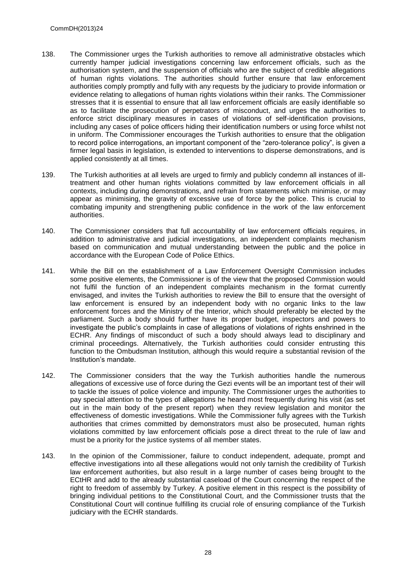- 138. The Commissioner urges the Turkish authorities to remove all administrative obstacles which currently hamper judicial investigations concerning law enforcement officials, such as the authorisation system, and the suspension of officials who are the subject of credible allegations of human rights violations. The authorities should further ensure that law enforcement authorities comply promptly and fully with any requests by the judiciary to provide information or evidence relating to allegations of human rights violations within their ranks. The Commissioner stresses that it is essential to ensure that all law enforcement officials are easily identifiable so as to facilitate the prosecution of perpetrators of misconduct, and urges the authorities to enforce strict disciplinary measures in cases of violations of self-identification provisions, including any cases of police officers hiding their identification numbers or using force whilst not in uniform. The Commissioner encourages the Turkish authorities to ensure that the obligation to record police interrogations, an important component of the "zero-tolerance policy", is given a firmer legal basis in legislation, is extended to interventions to disperse demonstrations, and is applied consistently at all times.
- 139. The Turkish authorities at all levels are urged to firmly and publicly condemn all instances of illtreatment and other human rights violations committed by law enforcement officials in all contexts, including during demonstrations, and refrain from statements which minimise, or may appear as minimising, the gravity of excessive use of force by the police. This is crucial to combating impunity and strengthening public confidence in the work of the law enforcement authorities.
- 140. The Commissioner considers that full accountability of law enforcement officials requires, in addition to administrative and judicial investigations, an independent complaints mechanism based on communication and mutual understanding between the public and the police in accordance with the European Code of Police Ethics.
- 141. While the Bill on the establishment of a Law Enforcement Oversight Commission includes some positive elements, the Commissioner is of the view that the proposed Commission would not fulfil the function of an independent complaints mechanism in the format currently envisaged, and invites the Turkish authorities to review the Bill to ensure that the oversight of law enforcement is ensured by an independent body with no organic links to the law enforcement forces and the Ministry of the Interior, which should preferably be elected by the parliament. Such a body should further have its proper budget, inspectors and powers to investigate the public's complaints in case of allegations of violations of rights enshrined in the ECHR. Any findings of misconduct of such a body should always lead to disciplinary and criminal proceedings. Alternatively, the Turkish authorities could consider entrusting this function to the Ombudsman Institution, although this would require a substantial revision of the Institution's mandate.
- 142. The Commissioner considers that the way the Turkish authorities handle the numerous allegations of excessive use of force during the Gezi events will be an important test of their will to tackle the issues of police violence and impunity. The Commissioner urges the authorities to pay special attention to the types of allegations he heard most frequently during his visit (as set out in the main body of the present report) when they review legislation and monitor the effectiveness of domestic investigations. While the Commissioner fully agrees with the Turkish authorities that crimes committed by demonstrators must also be prosecuted, human rights violations committed by law enforcement officials pose a direct threat to the rule of law and must be a priority for the justice systems of all member states.
- 143. In the opinion of the Commissioner, failure to conduct independent, adequate, prompt and effective investigations into all these allegations would not only tarnish the credibility of Turkish law enforcement authorities, but also result in a large number of cases being brought to the ECtHR and add to the already substantial caseload of the Court concerning the respect of the right to freedom of assembly by Turkey. A positive element in this respect is the possibility of bringing individual petitions to the Constitutional Court, and the Commissioner trusts that the Constitutional Court will continue fulfilling its crucial role of ensuring compliance of the Turkish judiciary with the ECHR standards.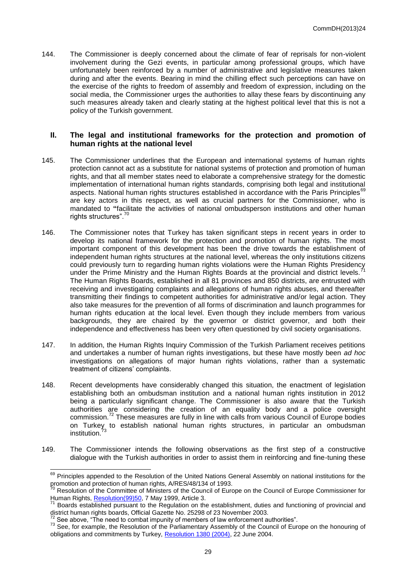144. The Commissioner is deeply concerned about the climate of fear of reprisals for non-violent involvement during the Gezi events, in particular among professional groups, which have unfortunately been reinforced by a number of administrative and legislative measures taken during and after the events. Bearing in mind the chilling effect such perceptions can have on the exercise of the rights to freedom of assembly and freedom of expression, including on the social media, the Commissioner urges the authorities to allay these fears by discontinuing any such measures already taken and clearly stating at the highest political level that this is not a policy of the Turkish government.

#### **II. The legal and institutional frameworks for the protection and promotion of human rights at the national level**

- 145. The Commissioner underlines that the European and international systems of human rights protection cannot act as a substitute for national systems of protection and promotion of human rights, and that all member states need to elaborate a comprehensive strategy for the domestic implementation of international human rights standards, comprising both legal and institutional aspects. National human rights structures established in accordance with the Paris Principles<sup>6</sup> are key actors in this respect, as well as crucial partners for the Commissioner, who is mandated to **"**facilitate the activities of national ombudsperson institutions and other human rights structures".<sup>70</sup>
- 146. The Commissioner notes that Turkey has taken significant steps in recent years in order to develop its national framework for the protection and promotion of human rights. The most important component of this development has been the drive towards the establishment of independent human rights structures at the national level, whereas the only institutions citizens Independent human rights subcidency at the national terms, there are stay could previously turn to regarding human rights violations were the Human Rights Presidency under the Prime Ministry and the Human Rights Boards at the provincial and district levels. The Human Rights Boards, established in all 81 provinces and 850 districts, are entrusted with receiving and investigating complaints and allegations of human rights abuses, and thereafter transmitting their findings to competent authorities for administrative and/or legal action. They also take measures for the prevention of all forms of discrimination and launch programmes for human rights education at the local level. Even though they include members from various backgrounds, they are chaired by the governor or district governor, and both their independence and effectiveness has been very often questioned by civil society organisations.
- 147. In addition, the Human Rights Inquiry Commission of the Turkish Parliament receives petitions and undertakes a number of human rights investigations, but these have mostly been *ad hoc*  investigations on allegations of major human rights violations, rather than a systematic treatment of citizens' complaints.
- 148. Recent developments have considerably changed this situation, the enactment of legislation establishing both an ombudsman institution and a national human rights institution in 2012 being a particularly significant change. The Commissioner is also aware that the Turkish authorities are considering the creation of an equality body and a police oversight commission.<sup>72</sup> These measures are fully in line with calls from various Council of Europe bodies on Turkey to establish national human rights structures, in particular an ombudsman institution.<sup>7</sup>
- 149. The Commissioner intends the following observations as the first step of a constructive dialogue with the Turkish authorities in order to assist them in reinforcing and fine-tuning these

-

<sup>&</sup>lt;sup>69</sup> Principles appended to the Resolution of the United Nations General Assembly on national institutions for the promotion and protection of human rights, A/RES/48/134 of 1993.

<sup>70</sup> Resolution of the Committee of Ministers of the Council of Europe on the Council of Europe Commissioner for Human Rights, [Resolution\(99\)50,](https://wcd.coe.int/ViewDoc.jsp?id=458513) 77 May 1999, Article 3.

Boards established pursuant to the Regulation on the establishment, duties and functioning of provincial and district human rights boards, Official Gazette No. 25298 of 23 November 2003.

 $72$  See above, "The need to combat impunity of members of law enforcement authorities".

<sup>&</sup>lt;sup>73</sup> See, for example, the Resolution of the Parliamentary Assembly of the Council of Europe on the honouring of obligations and commitments by Turkey, [Resolution 1380 \(2004\),](http://assembly.coe.int/ASP/XRef/X2H-DW-XSL.asp?fileid=17225&lang=en) 22 June 2004.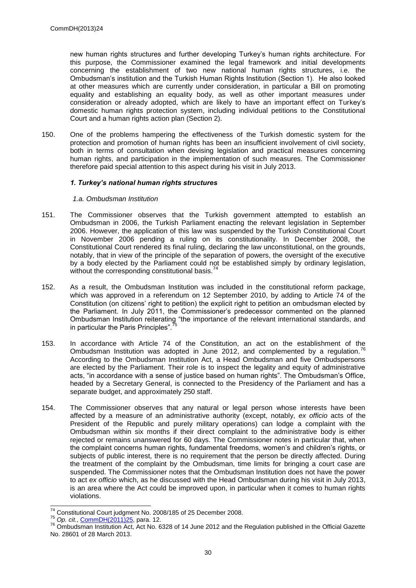new human rights structures and further developing Turkey's human rights architecture. For this purpose, the Commissioner examined the legal framework and initial developments concerning the establishment of two new national human rights structures, i.e. the Ombudsman's institution and the Turkish Human Rights Institution (Section 1). He also looked at other measures which are currently under consideration, in particular a Bill on promoting equality and establishing an equality body, as well as other important measures under consideration or already adopted, which are likely to have an important effect on Turkey's domestic human rights protection system, including individual petitions to the Constitutional Court and a human rights action plan (Section 2).

150. One of the problems hampering the effectiveness of the Turkish domestic system for the protection and promotion of human rights has been an insufficient involvement of civil society, both in terms of consultation when devising legislation and practical measures concerning human rights, and participation in the implementation of such measures. The Commissioner therefore paid special attention to this aspect during his visit in July 2013.

#### *1. Turkey's national human rights structures*

#### *1.a. Ombudsman Institution*

- 151. The Commissioner observes that the Turkish government attempted to establish an Ombudsman in 2006, the Turkish Parliament enacting the relevant legislation in September 2006. However, the application of this law was suspended by the Turkish Constitutional Court in November 2006 pending a ruling on its constitutionality. In December 2008, the Constitutional Court rendered its final ruling, declaring the law unconstitutional, on the grounds, notably, that in view of the principle of the separation of powers, the oversight of the executive by a body elected by the Parliament could not be established simply by ordinary legislation, without the corresponding constitutional basis.<sup>7</sup>
- 152. As a result, the Ombudsman Institution was included in the constitutional reform package, which was approved in a referendum on 12 September 2010, by adding to Article 74 of the Constitution (on citizens' right to petition) the explicit right to petition an ombudsman elected by the Parliament. In July 2011, the Commissioner's predecessor commented on the planned Ombudsman Institution reiterating "the importance of the relevant international standards, and in particular the Paris Principles".
- 153. In accordance with Article 74 of the Constitution, an act on the establishment of the Ombudsman Institution was adopted in June 2012, and complemented by a regulation.<sup>7</sup> According to the Ombudsman Institution Act, a Head Ombudsman and five Ombudspersons are elected by the Parliament. Their role is to inspect the legality and equity of administrative acts, "in accordance with a sense of justice based on human rights". The Ombudsman's Office, headed by a Secretary General, is connected to the Presidency of the Parliament and has a separate budget, and approximately 250 staff.
- 154. The Commissioner observes that any natural or legal person whose interests have been affected by a measure of an administrative authority (except, notably, *ex officio* acts of the President of the Republic and purely military operations) can lodge a complaint with the Ombudsman within six months if their direct complaint to the administrative body is either rejected or remains unanswered for 60 days. The Commissioner notes in particular that, when the complaint concerns human rights, fundamental freedoms, women's and children's rights, or subjects of public interest, there is no requirement that the person be directly affected. During the treatment of the complaint by the Ombudsman, time limits for bringing a court case are suspended. The Commissioner notes that the Ombudsman Institution does not have the power to act *ex officio* which, as he discussed with the Head Ombudsman during his visit in July 2013, is an area where the Act could be improved upon, in particular when it comes to human rights violations.

<sup>-</sup> $74$  Constitutional Court judgment No. 2008/185 of 25 December 2008.

<sup>75</sup> *Op. cit.*[, CommDH\(2011\)25,](https://wcd.coe.int/ViewDoc.jsp?id=1814085) para. 12.

<sup>&</sup>lt;sup>76</sup> Ombudsman Institution Act, Act No. 6328 of 14 June 2012 and the Regulation published in the Official Gazette No. 28601 of 28 March 2013.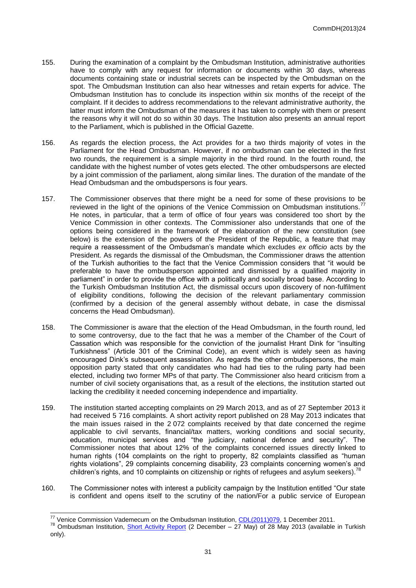- 155. During the examination of a complaint by the Ombudsman Institution, administrative authorities have to comply with any request for information or documents within 30 days, whereas documents containing state or industrial secrets can be inspected by the Ombudsman on the spot. The Ombudsman Institution can also hear witnesses and retain experts for advice. The Ombudsman Institution has to conclude its inspection within six months of the receipt of the complaint. If it decides to address recommendations to the relevant administrative authority, the latter must inform the Ombudsman of the measures it has taken to comply with them or present the reasons why it will not do so within 30 days. The Institution also presents an annual report to the Parliament, which is published in the Official Gazette.
- 156. As regards the election process, the Act provides for a two thirds majority of votes in the Parliament for the Head Ombudsman. However, if no ombudsman can be elected in the first two rounds, the requirement is a simple majority in the third round. In the fourth round, the candidate with the highest number of votes gets elected. The other ombudspersons are elected by a joint commission of the parliament, along similar lines. The duration of the mandate of the Head Ombudsman and the ombudspersons is four years.
- 157. The Commissioner observes that there might be a need for some of these provisions to be reviewed in the light of the opinions of the Venice Commission on Ombudsman institutions. He notes, in particular, that a term of office of four years was considered too short by the Venice Commission in other contexts. The Commissioner also understands that one of the options being considered in the framework of the elaboration of the new constitution (see below) is the extension of the powers of the President of the Republic, a feature that may require a reassessment of the Ombudsman's mandate which excludes *ex officio* acts by the President. As regards the dismissal of the Ombudsman, the Commissioner draws the attention of the Turkish authorities to the fact that the Venice Commission considers that "it would be preferable to have the ombudsperson appointed and dismissed by a qualified majority in parliament" in order to provide the office with a politically and socially broad base. According to the Turkish Ombudsman Institution Act, the dismissal occurs upon discovery of non-fulfilment of eligibility conditions, following the decision of the relevant parliamentary commission (confirmed by a decision of the general assembly without debate, in case the dismissal concerns the Head Ombudsman).
- 158. The Commissioner is aware that the election of the Head Ombudsman, in the fourth round, led to some controversy, due to the fact that he was a member of the Chamber of the Court of Cassation which was responsible for the conviction of the journalist Hrant Dink for "insulting Turkishness" (Article 301 of the Criminal Code), an event which is widely seen as having encouraged Dink's subsequent assassination. As regards the other ombudspersons, the main opposition party stated that only candidates who had had ties to the ruling party had been elected, including two former MPs of that party. The Commissioner also heard criticism from a number of civil society organisations that, as a result of the elections, the institution started out lacking the credibility it needed concerning independence and impartiality.
- 159. The institution started accepting complaints on 29 March 2013, and as of 27 September 2013 it had received 5 716 complaints. A short activity report published on 28 May 2013 indicates that the main issues raised in the 2 072 complaints received by that date concerned the regime applicable to civil servants, financial/tax matters, working conditions and social security, education, municipal services and "the judiciary, national defence and security". The Commissioner notes that about 12% of the complaints concerned issues directly linked to human rights (104 complaints on the right to property, 82 complaints classified as "human rights violations", 29 complaints concerning disability, 23 complaints concerning women's and children's rights, and 10 complaints on citizenship or rights of refugees and asylum seekers).<sup>7</sup>
- 160. The Commissioner notes with interest a publicity campaign by the Institution entitled "Our state is confident and opens itself to the scrutiny of the nation/For a public service of European

1

<sup>&</sup>lt;sup>77</sup> Venice Commission Vademecum on the Ombudsman Institution, [CDL\(2011\)079,](http://www.venice.coe.int/webforms/documents/CDL%282011%29079-e.aspx) 1 December 2011.

<sup>&</sup>lt;sup>78</sup> Ombudsman Institution, **Short Activity Report** (2 December – 27 May) of 28 May 2013 (available in Turkish only).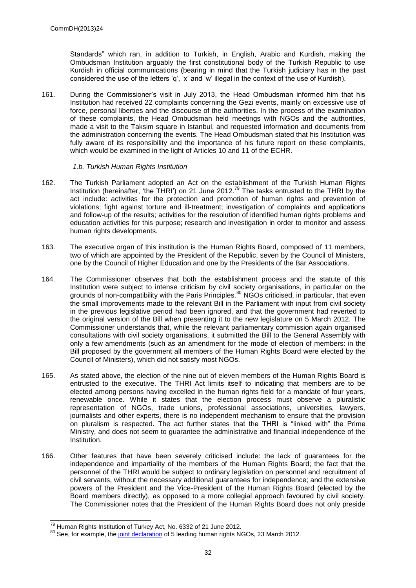Standards" which ran, in addition to Turkish, in English, Arabic and Kurdish, making the Ombudsman Institution arguably the first constitutional body of the Turkish Republic to use Kurdish in official communications (bearing in mind that the Turkish judiciary has in the past considered the use of the letters 'q', 'x' and 'w' illegal in the context of the use of Kurdish).

161. During the Commissioner's visit in July 2013, the Head Ombudsman informed him that his Institution had received 22 complaints concerning the Gezi events, mainly on excessive use of force, personal liberties and the discourse of the authorities. In the process of the examination of these complaints, the Head Ombudsman held meetings with NGOs and the authorities, made a visit to the Taksim square in Istanbul, and requested information and documents from the administration concerning the events. The Head Ombudsman stated that his Institution was fully aware of its responsibility and the importance of his future report on these complaints, which would be examined in the light of Articles 10 and 11 of the ECHR.

#### *1.b. Turkish Human Rights Institution*

- 162. The Turkish Parliament adopted an Act on the establishment of the Turkish Human Rights Institution (hereinafter, 'the THRI') on 21 June 2012.<sup>79</sup> The tasks entrusted to the THRI by the act include: activities for the protection and promotion of human rights and prevention of violations; fight against torture and ill-treatment; investigation of complaints and applications and follow-up of the results; activities for the resolution of identified human rights problems and education activities for this purpose; research and investigation in order to monitor and assess human rights developments.
- 163. The executive organ of this institution is the Human Rights Board, composed of 11 members, two of which are appointed by the President of the Republic, seven by the Council of Ministers, one by the Council of Higher Education and one by the Presidents of the Bar Associations.
- 164. The Commissioner observes that both the establishment process and the statute of this Institution were subject to intense criticism by civil society organisations, in particular on the grounds of non-compatibility with the Paris Principles.<sup>80</sup> NGOs criticised, in particular, that even the small improvements made to the relevant Bill in the Parliament with input from civil society in the previous legislative period had been ignored, and that the government had reverted to the original version of the Bill when presenting it to the new legislature on 5 March 2012. The Commissioner understands that, while the relevant parliamentary commission again organised consultations with civil society organisations, it submitted the Bill to the General Assembly with only a few amendments (such as an amendment for the mode of election of members: in the Bill proposed by the government all members of the Human Rights Board were elected by the Council of Ministers), which did not satisfy most NGOs.
- 165. As stated above, the election of the nine out of eleven members of the Human Rights Board is entrusted to the executive. The THRI Act limits itself to indicating that members are to be elected among persons having excelled in the human rights field for a mandate of four years, renewable once. While it states that the election process must observe a pluralistic representation of NGOs, trade unions, professional associations, universities, lawyers, journalists and other experts, there is no independent mechanism to ensure that the provision on pluralism is respected. The act further states that the THRI is "linked with" the Prime Ministry, and does not seem to guarantee the administrative and financial independence of the Institution.
- 166. Other features that have been severely criticised include: the lack of guarantees for the independence and impartiality of the members of the Human Rights Board; the fact that the personnel of the THRI would be subject to ordinary legislation on personnel and recruitment of civil servants, without the necessary additional guarantees for independence; and the extensive powers of the President and the Vice-President of the Human Rights Board (elected by the Board members directly), as opposed to a more collegial approach favoured by civil society. The Commissioner notes that the President of the Human Rights Board does not only preside

 $\overline{a}$ <sup>79</sup> Human Rights Institution of Turkey Act, No. 6332 of 21 June 2012.

<sup>80</sup> See, for example, the [joint declaration](http://www.ihop.org.tr/english/index.php?option=com_content&view=article&id=108:five-rights-based-organizations-national-human-rights-institute-draft-law-is-unacceptable&catid=36:ulusal-nsan-haklar-kurumu) of 5 leading human rights NGOs, 23 March 2012.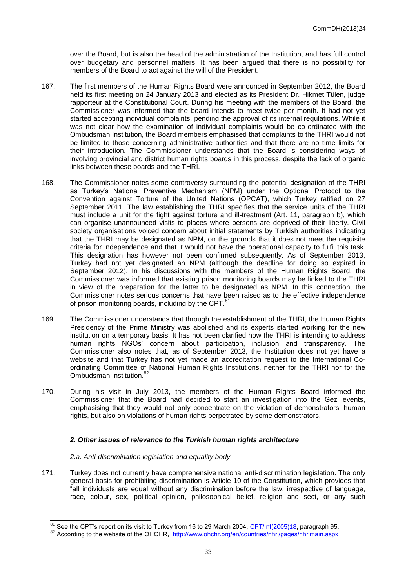over the Board, but is also the head of the administration of the Institution, and has full control over budgetary and personnel matters. It has been argued that there is no possibility for members of the Board to act against the will of the President.

- 167. The first members of the Human Rights Board were announced in September 2012, the Board held its first meeting on 24 January 2013 and elected as its President Dr. Hikmet Tülen, judge rapporteur at the Constitutional Court. During his meeting with the members of the Board, the Commissioner was informed that the board intends to meet twice per month. It had not yet started accepting individual complaints, pending the approval of its internal regulations. While it was not clear how the examination of individual complaints would be co-ordinated with the Ombudsman Institution, the Board members emphasised that complaints to the THRI would not be limited to those concerning administrative authorities and that there are no time limits for their introduction. The Commissioner understands that the Board is considering ways of involving provincial and district human rights boards in this process, despite the lack of organic links between these boards and the THRI.
- 168. The Commissioner notes some controversy surrounding the potential designation of the THRI as Turkey's National Preventive Mechanism (NPM) under the Optional Protocol to the Convention against Torture of the United Nations (OPCAT), which Turkey ratified on 27 September 2011. The law establishing the THRI specifies that the service units of the THRI must include a unit for the fight against torture and ill-treatment (Art. 11, paragraph b), which can organise unannounced visits to places where persons are deprived of their liberty. Civil society organisations voiced concern about initial statements by Turkish authorities indicating that the THRI may be designated as NPM, on the grounds that it does not meet the requisite criteria for independence and that it would not have the operational capacity to fulfil this task. This designation has however not been confirmed subsequently. As of September 2013, Turkey had not yet designated an NPM (although the deadline for doing so expired in September 2012). In his discussions with the members of the Human Rights Board, the Commissioner was informed that existing prison monitoring boards may be linked to the THRI in view of the preparation for the latter to be designated as NPM. In this connection, the Commissioner notes serious concerns that have been raised as to the effective independence of prison monitoring boards, including by the CPT. $81$
- 169. The Commissioner understands that through the establishment of the THRI, the Human Rights Presidency of the Prime Ministry was abolished and its experts started working for the new institution on a temporary basis. It has not been clarified how the THRI is intending to address human rights NGOs' concern about participation, inclusion and transparency. The Commissioner also notes that, as of September 2013, the Institution does not yet have a website and that Turkey has not yet made an accreditation request to the International Coordinating Committee of National Human Rights Institutions, neither for the THRI nor for the Ombudsman Institution.<sup>82</sup>
- 170. During his visit in July 2013, the members of the Human Rights Board informed the Commissioner that the Board had decided to start an investigation into the Gezi events, emphasising that they would not only concentrate on the violation of demonstrators' human rights, but also on violations of human rights perpetrated by some demonstrators.

#### *2. Other issues of relevance to the Turkish human rights architecture*

#### *2.a. Anti-discrimination legislation and equality body*

171. Turkey does not currently have comprehensive national anti-discrimination legislation. The only general basis for prohibiting discrimination is Article 10 of the Constitution, which provides that "all individuals are equal without any discrimination before the law, irrespective of language, race, colour, sex, political opinion, philosophical belief, religion and sect, or any such

 $81$  See the CPT's report on its visit to Turkey from 16 to 29 March 2004, [CPT/Inf\(2005\)18](http://www.cpt.coe.int/documents/tur/2005-18-inf-eng.htm), paragraph 95.

<sup>82</sup> According to the website of the OHCHR, <http://www.ohchr.org/en/countries/nhri/pages/nhrimain.aspx>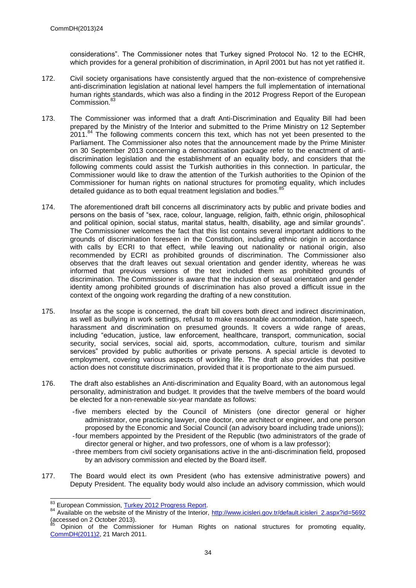considerations". The Commissioner notes that Turkey signed Protocol No. 12 to the ECHR, which provides for a general prohibition of discrimination, in April 2001 but has not yet ratified it.

- 172. Civil society organisations have consistently argued that the non-existence of comprehensive anti-discrimination legislation at national level hampers the full implementation of international human rights standards, which was also a finding in the 2012 Progress Report of the European Commission.<sup>83</sup>
- 173. The Commissioner was informed that a draft Anti-Discrimination and Equality Bill had been prepared by the Ministry of the Interior and submitted to the Prime Ministry on 12 September 2011.<sup>84</sup> The following comments concern this text, which has not yet been presented to the Parliament. The Commissioner also notes that the announcement made by the Prime Minister on 30 September 2013 concerning a democratisation package refer to the enactment of antidiscrimination legislation and the establishment of an equality body, and considers that the following comments could assist the Turkish authorities in this connection. In particular, the Commissioner would like to draw the attention of the Turkish authorities to the Opinion of the Commissioner for human rights on national structures for promoting equality, which includes detailed guidance as to both equal treatment legislation and bodies.<sup>8</sup>
- 174. The aforementioned draft bill concerns all discriminatory acts by public and private bodies and persons on the basis of "sex, race, colour, language, religion, faith, ethnic origin, philosophical and political opinion, social status, marital status, health, disability, age and similar grounds". The Commissioner welcomes the fact that this list contains several important additions to the grounds of discrimination foreseen in the Constitution, including ethnic origin in accordance with calls by ECRI to that effect, while leaving out nationality or national origin, also recommended by ECRI as prohibited grounds of discrimination. The Commissioner also observes that the draft leaves out sexual orientation and gender identity, whereas he was informed that previous versions of the text included them as prohibited grounds of discrimination. The Commissioner is aware that the inclusion of sexual orientation and gender identity among prohibited grounds of discrimination has also proved a difficult issue in the context of the ongoing work regarding the drafting of a new constitution.
- 175. Insofar as the scope is concerned, the draft bill covers both direct and indirect discrimination, as well as bullying in work settings, refusal to make reasonable accommodation, hate speech, harassment and discrimination on presumed grounds. It covers a wide range of areas, including "education, justice, law enforcement, healthcare, transport, communication, social security, social services, social aid, sports, accommodation, culture, tourism and similar services" provided by public authorities or private persons. A special article is devoted to employment, covering various aspects of working life. The draft also provides that positive action does not constitute discrimination, provided that it is proportionate to the aim pursued.
- 176. The draft also establishes an Anti-discrimination and Equality Board, with an autonomous legal personality, administration and budget. It provides that the twelve members of the board would be elected for a non-renewable six-year mandate as follows:
	- -five members elected by the Council of Ministers (one director general or higher administrator, one practicing lawyer, one doctor, one architect or engineer, and one person proposed by the Economic and Social Council (an advisory board including trade unions));
	- -four members appointed by the President of the Republic (two administrators of the grade of director general or higher, and two professors, one of whom is a law professor);
	- -three members from civil society organisations active in the anti-discrimination field, proposed by an advisory commission and elected by the Board itself.
- 177. The Board would elect its own President (who has extensive administrative powers) and Deputy President. The equality body would also include an advisory commission, which would

 <sup>83</sup> European Commission, [Turkey 2012 Progress Report.](http://ec.europa.eu/enlargement/pdf/key_documents/2012/package/tr_rapport_2012_en.pdf)

<sup>84</sup> Available on the website of the Ministry of the Interior, [http://www.icisleri.gov.tr/default.icisleri\\_2.aspx?id=5692](http://www.icisleri.gov.tr/default.icisleri_2.aspx?id=5692) (accessed on 2 October 2013).

<sup>85</sup> Opinion of the Commissioner for Human Rights on national structures for promoting equality, [CommDH\(2011\)2,](https://wcd.coe.int/ViewDoc.jsp?id=1761031) 21 March 2011.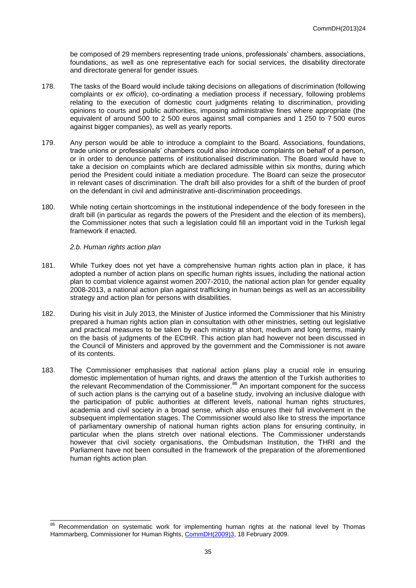be composed of 29 members representing trade unions, professionals' chambers, associations, foundations, as well as one representative each for social services, the disability directorate and directorate general for gender issues.

- 178. The tasks of the Board would include taking decisions on allegations of discrimination (following complaints or *ex officio*), co-ordinating a mediation process if necessary, following problems relating to the execution of domestic court judgments relating to discrimination, providing opinions to courts and public authorities, imposing administrative fines where appropriate (the equivalent of around 500 to 2 500 euros against small companies and 1 250 to 7 500 euros against bigger companies), as well as yearly reports.
- 179. Any person would be able to introduce a complaint to the Board. Associations, foundations, trade unions or professionals' chambers could also introduce complaints on behalf of a person, or in order to denounce patterns of institutionalised discrimination. The Board would have to take a decision on complaints which are declared admissible within six months, during which period the President could initiate a mediation procedure. The Board can seize the prosecutor in relevant cases of discrimination. The draft bill also provides for a shift of the burden of proof on the defendant in civil and administrative anti-discrimination proceedings.
- 180. While noting certain shortcomings in the institutional independence of the body foreseen in the draft bill (in particular as regards the powers of the President and the election of its members), the Commissioner notes that such a legislation could fill an important void in the Turkish legal framework if enacted.

*2.b. Human rights action plan*

- 181. While Turkey does not yet have a comprehensive human rights action plan in place, it has adopted a number of action plans on specific human rights issues, including the national action plan to combat violence against women 2007-2010, the national action plan for gender equality 2008-2013, a national action plan against trafficking in human beings as well as an accessibility strategy and action plan for persons with disabilities.
- 182. During his visit in July 2013, the Minister of Justice informed the Commissioner that his Ministry prepared a human rights action plan in consultation with other ministries, setting out legislative and practical measures to be taken by each ministry at short, medium and long terms, mainly on the basis of judgments of the ECtHR. This action plan had however not been discussed in the Council of Ministers and approved by the government and the Commissioner is not aware of its contents.
- 183. The Commissioner emphasises that national action plans play a crucial role in ensuring domestic implementation of human rights, and draws the attention of the Turkish authorities to the relevant Recommendation of the Commissioner.<sup>86</sup> An important component for the success of such action plans is the carrying out of a baseline study, involving an inclusive dialogue with the participation of public authorities at different levels, national human rights structures, academia and civil society in a broad sense, which also ensures their full involvement in the subsequent implementation stages. The Commissioner would also like to stress the importance of parliamentary ownership of national human rights action plans for ensuring continuity, in particular when the plans stretch over national elections. The Commissioner understands however that civil society organisations, the Ombudsman Institution, the THRI and the Parliament have not been consulted in the framework of the preparation of the aforementioned human rights action plan.

<sup>&</sup>lt;sup>86</sup> Recommendation on systematic work for implementing human rights at the national level by Thomas Hammarberg, Commissioner for Human Rights[, CommDH\(2009\)3,](https://wcd.coe.int/ViewDoc.jsp?id=1408617) 18 February 2009.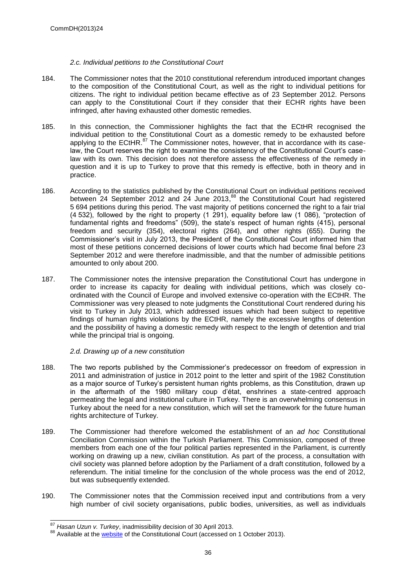#### *2.c. Individual petitions to the Constitutional Court*

- 184. The Commissioner notes that the 2010 constitutional referendum introduced important changes to the composition of the Constitutional Court, as well as the right to individual petitions for citizens. The right to individual petition became effective as of 23 September 2012. Persons can apply to the Constitutional Court if they consider that their ECHR rights have been infringed, after having exhausted other domestic remedies.
- 185. In this connection, the Commissioner highlights the fact that the ECtHR recognised the individual petition to the Constitutional Court as a domestic remedy to be exhausted before applying to the ECtHR. $^{87}$  The Commissioner notes, however, that in accordance with its caselaw, the Court reserves the right to examine the consistency of the Constitutional Court's caselaw with its own. This decision does not therefore assess the effectiveness of the remedy in question and it is up to Turkey to prove that this remedy is effective, both in theory and in practice.
- 186. According to the statistics published by the Constitutional Court on individual petitions received between 24 September 2012 and 24 June 2013,<sup>88</sup> the Constitutional Court had registered 5 694 petitions during this period. The vast majority of petitions concerned the right to a fair trial (4 532), followed by the right to property (1 291), equality before law (1 086), "protection of fundamental rights and freedoms" (509), the state's respect of human rights (415), personal freedom and security (354), electoral rights (264), and other rights (655). During the Commissioner's visit in July 2013, the President of the Constitutional Court informed him that most of these petitions concerned decisions of lower courts which had become final before 23 September 2012 and were therefore inadmissible, and that the number of admissible petitions amounted to only about 200.
- 187. The Commissioner notes the intensive preparation the Constitutional Court has undergone in order to increase its capacity for dealing with individual petitions, which was closely coordinated with the Council of Europe and involved extensive co-operation with the ECtHR. The Commissioner was very pleased to note judgments the Constitutional Court rendered during his visit to Turkey in July 2013, which addressed issues which had been subject to repetitive findings of human rights violations by the ECtHR, namely the excessive lengths of detention and the possibility of having a domestic remedy with respect to the length of detention and trial while the principal trial is ongoing.

*2.d. Drawing up of a new constitution*

- 188. The two reports published by the Commissioner's predecessor on freedom of expression in 2011 and administration of justice in 2012 point to the letter and spirit of the 1982 Constitution as a major source of Turkey's persistent human rights problems, as this Constitution, drawn up in the aftermath of the 1980 military coup d'état, enshrines a state-centred approach permeating the legal and institutional culture in Turkey. There is an overwhelming consensus in Turkey about the need for a new constitution, which will set the framework for the future human rights architecture of Turkey.
- 189. The Commissioner had therefore welcomed the establishment of an *ad hoc* Constitutional Conciliation Commission within the Turkish Parliament. This Commission, composed of three members from each one of the four political parties represented in the Parliament, is currently working on drawing up a new, civilian constitution. As part of the process, a consultation with civil society was planned before adoption by the Parliament of a draft constitution, followed by a referendum. The initial timeline for the conclusion of the whole process was the end of 2012, but was subsequently extended.
- 190. The Commissioner notes that the Commission received input and contributions from a very high number of civil society organisations, public bodies, universities, as well as individuals

 <sup>87</sup> *Hasan Uzun v. Turkey*, inadmissibility decision of 30 April 2013.

<sup>88</sup> Available at the [website](http://www.anayasa.gov.tr/files/bireyselBasvuru/istatistikler2.pdfhttp:/www.anayasa.gov.tr/files/bireyselBasvuru/istatistikler2.pdf) of the Constitutional Court (accessed on 1 October 2013).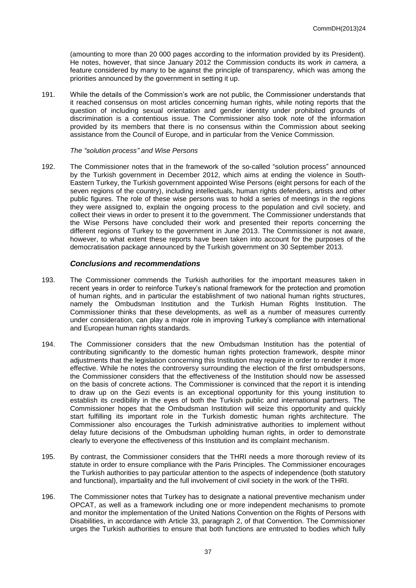(amounting to more than 20 000 pages according to the information provided by its President). He notes, however, that since January 2012 the Commission conducts its work *in camera,* a feature considered by many to be against the principle of transparency, which was among the priorities announced by the government in setting it up.

191. While the details of the Commission's work are not public, the Commissioner understands that it reached consensus on most articles concerning human rights, while noting reports that the question of including sexual orientation and gender identity under prohibited grounds of discrimination is a contentious issue. The Commissioner also took note of the information provided by its members that there is no consensus within the Commission about seeking assistance from the Council of Europe, and in particular from the Venice Commission.

#### *The "solution process" and Wise Persons*

192. The Commissioner notes that in the framework of the so-called "solution process" announced by the Turkish government in December 2012, which aims at ending the violence in South-Eastern Turkey, the Turkish government appointed Wise Persons (eight persons for each of the seven regions of the country), including intellectuals, human rights defenders, artists and other public figures. The role of these wise persons was to hold a series of meetings in the regions they were assigned to, explain the ongoing process to the population and civil society, and collect their views in order to present it to the government. The Commissioner understands that the Wise Persons have concluded their work and presented their reports concerning the different regions of Turkey to the government in June 2013. The Commissioner is not aware, however, to what extent these reports have been taken into account for the purposes of the democratisation package announced by the Turkish government on 30 September 2013.

#### *Conclusions and recommendations*

- 193. The Commissioner commends the Turkish authorities for the important measures taken in recent years in order to reinforce Turkey's national framework for the protection and promotion of human rights, and in particular the establishment of two national human rights structures, namely the Ombudsman Institution and the Turkish Human Rights Institution. The Commissioner thinks that these developments, as well as a number of measures currently under consideration, can play a major role in improving Turkey's compliance with international and European human rights standards.
- 194. The Commissioner considers that the new Ombudsman Institution has the potential of contributing significantly to the domestic human rights protection framework, despite minor adjustments that the legislation concerning this Institution may require in order to render it more effective. While he notes the controversy surrounding the election of the first ombudspersons, the Commissioner considers that the effectiveness of the Institution should now be assessed on the basis of concrete actions. The Commissioner is convinced that the report it is intending to draw up on the Gezi events is an exceptional opportunity for this young institution to establish its credibility in the eyes of both the Turkish public and international partners. The Commissioner hopes that the Ombudsman Institution will seize this opportunity and quickly start fulfilling its important role in the Turkish domestic human rights architecture. The Commissioner also encourages the Turkish administrative authorities to implement without delay future decisions of the Ombudsman upholding human rights, in order to demonstrate clearly to everyone the effectiveness of this Institution and its complaint mechanism.
- 195. By contrast, the Commissioner considers that the THRI needs a more thorough review of its statute in order to ensure compliance with the Paris Principles. The Commissioner encourages the Turkish authorities to pay particular attention to the aspects of independence (both statutory and functional), impartiality and the full involvement of civil society in the work of the THRI.
- 196. The Commissioner notes that Turkey has to designate a national preventive mechanism under OPCAT, as well as a framework including one or more independent mechanisms to promote and monitor the implementation of the United Nations Convention on the Rights of Persons with Disabilities, in accordance with Article 33, paragraph 2, of that Convention. The Commissioner urges the Turkish authorities to ensure that both functions are entrusted to bodies which fully